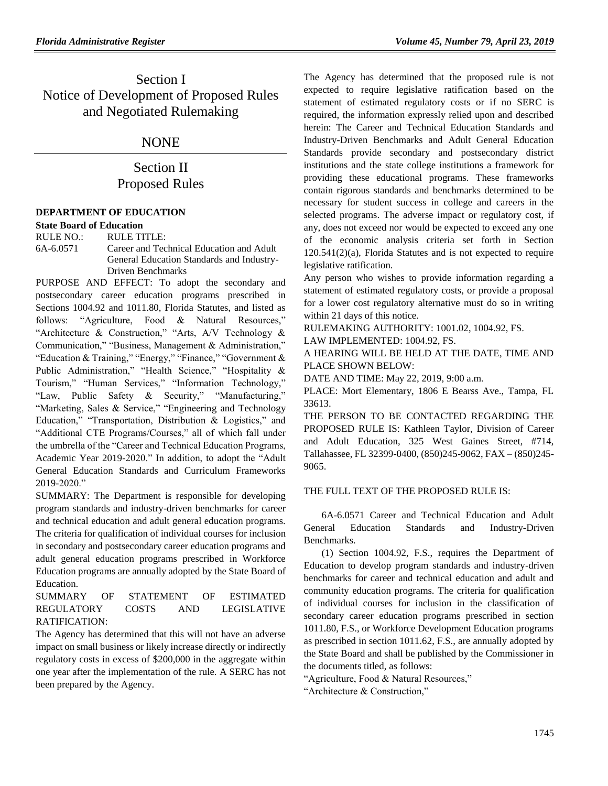## Section I Notice of Development of Proposed Rules and Negotiated Rulemaking

## NONE

# Section II Proposed Rules

### **[DEPARTMENT OF EDUCATION](https://www.flrules.org/gateway/department.asp?id=6)**

**[State Board of Education](https://www.flrules.org/gateway/organization.asp?id=195)** RULE NO.: RULE TITLE: [6A-6.0571](https://www.flrules.org/gateway/ruleNo.asp?id=6A-6.0571) Career and Technical Education and Adult

General Education Standards and Industry-Driven Benchmarks

PURPOSE AND EFFECT: To adopt the secondary and postsecondary career education programs prescribed in Sections 1004.92 and 1011.80, Florida Statutes, and listed as follows: "Agriculture, Food & Natural Resources," "Architecture & Construction," "Arts, A/V Technology & Communication," "Business, Management & Administration," "Education & Training," "Energy," "Finance," "Government & Public Administration," "Health Science," "Hospitality & Tourism," "Human Services," "Information Technology," "Law, Public Safety & Security," "Manufacturing," "Marketing, Sales & Service," "Engineering and Technology Education," "Transportation, Distribution & Logistics," and "Additional CTE Programs/Courses," all of which fall under the umbrella of the "Career and Technical Education Programs, Academic Year 2019-2020." In addition, to adopt the "Adult General Education Standards and Curriculum Frameworks 2019-2020."

SUMMARY: The Department is responsible for developing program standards and industry-driven benchmarks for career and technical education and adult general education programs. The criteria for qualification of individual courses for inclusion in secondary and postsecondary career education programs and adult general education programs prescribed in Workforce Education programs are annually adopted by the State Board of Education.

#### SUMMARY OF STATEMENT OF ESTIMATED REGULATORY COSTS AND LEGISLATIVE RATIFICATION:

The Agency has determined that this will not have an adverse impact on small business or likely increase directly or indirectly regulatory costs in excess of \$200,000 in the aggregate within one year after the implementation of the rule. A SERC has not been prepared by the Agency.

The Agency has determined that the proposed rule is not expected to require legislative ratification based on the statement of estimated regulatory costs or if no SERC is required, the information expressly relied upon and described herein: The Career and Technical Education Standards and Industry-Driven Benchmarks and Adult General Education Standards provide secondary and postsecondary district institutions and the state college institutions a framework for providing these educational programs. These frameworks contain rigorous standards and benchmarks determined to be necessary for student success in college and careers in the selected programs. The adverse impact or regulatory cost, if any, does not exceed nor would be expected to exceed any one of the economic analysis criteria set forth in Section 120.541(2)(a), Florida Statutes and is not expected to require legislative ratification.

Any person who wishes to provide information regarding a statement of estimated regulatory costs, or provide a proposal for a lower cost regulatory alternative must do so in writing within 21 days of this notice.

RULEMAKING AUTHORITY: [1001.02,](https://www.flrules.org/gateway/statute.asp?id=1001.02) [1004.92,](https://www.flrules.org/gateway/statute.asp?id=%201004.92) FS.

LAW IMPLEMENTED: [1004.92,](https://www.flrules.org/gateway/statute.asp?id=1004.92) FS.

A HEARING WILL BE HELD AT THE DATE, TIME AND PLACE SHOWN BELOW:

DATE AND TIME: May 22, 2019, 9:00 a.m.

PLACE: Mort Elementary, 1806 E Bearss Ave., Tampa, FL 33613.

THE PERSON TO BE CONTACTED REGARDING THE PROPOSED RULE IS: Kathleen Taylor, Division of Career and Adult Education, 325 West Gaines Street, #714, Tallahassee, FL 32399-0400, (850)245-9062, FAX – (850)245- 9065.

### THE FULL TEXT OF THE PROPOSED RULE IS:

6A-6.0571 Career and Technical Education and Adult General Education Standards and Industry-Driven Benchmarks.

(1) Section 1004.92, F.S., requires the Department of Education to develop program standards and industry-driven benchmarks for career and technical education and adult and community education programs. The criteria for qualification of individual courses for inclusion in the classification of secondary career education programs prescribed in section 1011.80, F.S., or Workforce Development Education programs as prescribed in section 1011.62, F.S., are annually adopted by the State Board and shall be published by the Commissioner in the documents titled, as follows:

"Agriculture, Food & Natural Resources,"

"Architecture & Construction,"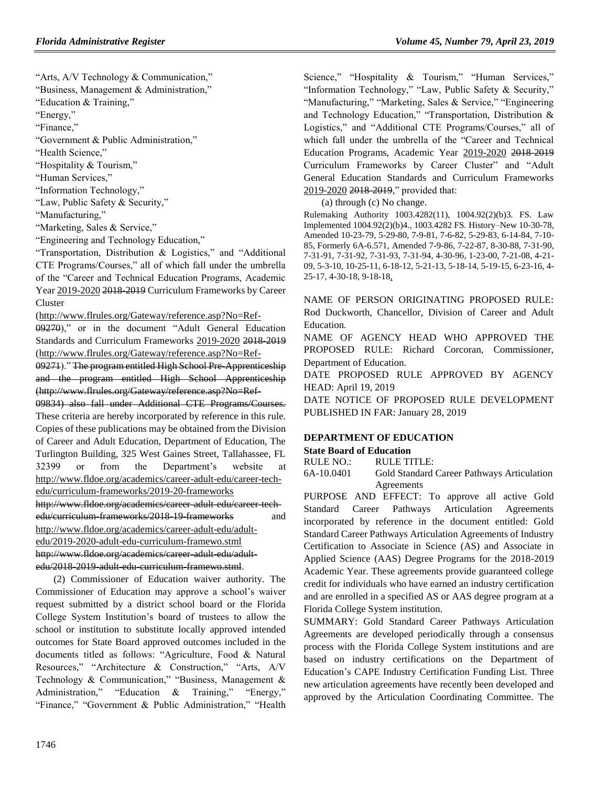"Arts, A/V Technology & Communication,"

"Business, Management & Administration,"

"Education & Training,"

"Energy,"

"Finance,"

"Government & Public Administration,"

"Health Science,"

"Hospitality & Tourism,"

"Human Services,"

"Information Technology,"

"Law, Public Safety & Security,"

"Manufacturing,"

"Marketing, Sales & Service,"

"Engineering and Technology Education,"

"Transportation, Distribution & Logistics," and "Additional CTE Programs/Courses," all of which fall under the umbrella of the "Career and Technical Education Programs, Academic Year 2019-2020 2018-2019 Curriculum Frameworks by Career Cluster

(http://www.flrules.org/Gateway/reference.asp?No=Ref-

09270)," or in the document "Adult General Education Standards and Curriculum Frameworks 2019-2020 2018-2019 (http://www.flrules.org/Gateway/reference.asp?No=Ref-

09271)." The program entitled High School Pre-Apprenticeship and the program entitled High School Apprenticeship (http://www.flrules.org/Gateway/reference.asp?No=Ref-

09834) also fall under Additional CTE Programs/Courses. These criteria are hereby incorporated by reference in this rule. Copies of these publications may be obtained from the Division of Career and Adult Education, Department of Education, The Turlington Building, 325 West Gaines Street, Tallahassee, FL 32399 or from the Department's website at [http://www.fldoe.org/academics/career-adult-edu/career-tech](http://www.fldoe.org/academics/career-adult-edu/career-tech-edu/curriculum-frameworks/2019-20-frameworks)[edu/curriculum-frameworks/2019-20-frameworks](http://www.fldoe.org/academics/career-adult-edu/career-tech-edu/curriculum-frameworks/2019-20-frameworks) http://www.fldoe.org/academics/career-adult-edu/career-techedu/curriculum-frameworks/2018-19-frameworks and [http://www.fldoe.org/academics/career-adult-edu/adult](http://www.fldoe.org/academics/career-adult-edu/adult-edu/2019-2020-adult-edu-curriculum-framewo.stml)[edu/2019-2020-adult-edu-curriculum-framewo.stml](http://www.fldoe.org/academics/career-adult-edu/adult-edu/2019-2020-adult-edu-curriculum-framewo.stml) http://www.fldoe.org/academics/career-adult-edu/adultedu/2018-2019-adult-edu-curriculum-framewo.stml.

(2) Commissioner of Education waiver authority. The Commissioner of Education may approve a school's waiver request submitted by a district school board or the Florida College System Institution's board of trustees to allow the school or institution to substitute locally approved intended outcomes for State Board approved outcomes included in the documents titled as follows: "Agriculture, Food & Natural Resources," "Architecture & Construction," "Arts, A/V Technology & Communication," "Business, Management & Administration," "Education & Training," "Energy," "Finance," "Government & Public Administration," "Health Science," "Hospitality & Tourism," "Human Services," "Information Technology," "Law, Public Safety & Security," "Manufacturing," "Marketing, Sales & Service," "Engineering and Technology Education," "Transportation, Distribution & Logistics," and "Additional CTE Programs/Courses," all of which fall under the umbrella of the "Career and Technical Education Programs, Academic Year 2019-2020 2018-2019 Curriculum Frameworks by Career Cluster" and "Adult General Education Standards and Curriculum Frameworks 2019-2020 2018-2019," provided that:

(a) through (c) No change.

Rulemaking Authority 1003.4282(11), 1004.92(2)(b)3. FS. Law Implemented 1004.92(2)(b)4., 1003.4282 FS. History–New 10-30-78, Amended 10-23-79, 5-29-80, 7-9-81, 7-6-82, 5-29-83, 6-14-84, 7-10- 85, Formerly 6A-6.571, Amended 7-9-86, 7-22-87, 8-30-88, 7-31-90, 7-31-91, 7-31-92, 7-31-93, 7-31-94, 4-30-96, 1-23-00, 7-21-08, 4-21- 09, 5-3-10, 10-25-11, 6-18-12, 5-21-13, 5-18-14, 5-19-15, 6-23-16, 4- 25-17, 4-30-18, 9-18-18,

NAME OF PERSON ORIGINATING PROPOSED RULE: Rod Duckworth, Chancellor, Division of Career and Adult Education.

NAME OF AGENCY HEAD WHO APPROVED THE PROPOSED RULE: Richard Corcoran, Commissioner, Department of Education.

DATE PROPOSED RULE APPROVED BY AGENCY HEAD: April 19, 2019

DATE NOTICE OF PROPOSED RULE DEVELOPMENT PUBLISHED IN FAR: January 28, 2019

#### **[DEPARTMENT OF EDUCATION](https://www.flrules.org/gateway/department.asp?id=6)**

#### **[State Board of Education](https://www.flrules.org/gateway/organization.asp?id=195)**

RULE NO.: RULE TITLE:

[6A-10.0401](https://www.flrules.org/gateway/ruleNo.asp?id=6A-10.0401) Gold Standard Career Pathways Articulation Agreements

PURPOSE AND EFFECT: To approve all active Gold Standard Career Pathways Articulation Agreements incorporated by reference in the document entitled: Gold Standard Career Pathways Articulation Agreements of Industry Certification to Associate in Science (AS) and Associate in Applied Science (AAS) Degree Programs for the 2018-2019 Academic Year. These agreements provide guaranteed college credit for individuals who have earned an industry certification and are enrolled in a specified AS or AAS degree program at a Florida College System institution.

SUMMARY: Gold Standard Career Pathways Articulation Agreements are developed periodically through a consensus process with the Florida College System institutions and are based on industry certifications on the Department of Education's CAPE Industry Certification Funding List. Three new articulation agreements have recently been developed and approved by the Articulation Coordinating Committee. The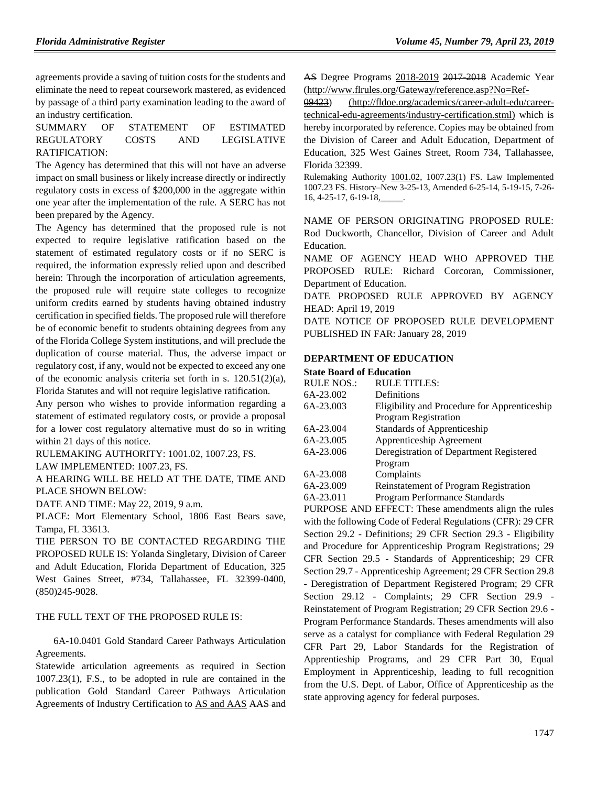agreements provide a saving of tuition costs for the students and eliminate the need to repeat coursework mastered, as evidenced by passage of a third party examination leading to the award of an industry certification.

SUMMARY OF STATEMENT OF ESTIMATED REGULATORY COSTS AND LEGISLATIVE RATIFICATION:

The Agency has determined that this will not have an adverse impact on small business or likely increase directly or indirectly regulatory costs in excess of \$200,000 in the aggregate within one year after the implementation of the rule. A SERC has not been prepared by the Agency.

The Agency has determined that the proposed rule is not expected to require legislative ratification based on the statement of estimated regulatory costs or if no SERC is required, the information expressly relied upon and described herein: Through the incorporation of articulation agreements, the proposed rule will require state colleges to recognize uniform credits earned by students having obtained industry certification in specified fields. The proposed rule will therefore be of economic benefit to students obtaining degrees from any of the Florida College System institutions, and will preclude the duplication of course material. Thus, the adverse impact or regulatory cost, if any, would not be expected to exceed any one of the economic analysis criteria set forth in s. 120.51(2)(a), Florida Statutes and will not require legislative ratification.

Any person who wishes to provide information regarding a statement of estimated regulatory costs, or provide a proposal for a lower cost regulatory alternative must do so in writing within 21 days of this notice.

RULEMAKING AUTHORITY: [1001.02,](https://www.flrules.org/gateway/statute.asp?id=1001.02) [1007.23,](https://www.flrules.org/gateway/statute.asp?id=%201007.23) FS.

LAW IMPLEMENTED: [1007.23,](https://www.flrules.org/gateway/statute.asp?id=1007.23) FS.

A HEARING WILL BE HELD AT THE DATE, TIME AND PLACE SHOWN BELOW:

DATE AND TIME: May 22, 2019, 9 a.m.

PLACE: Mort Elementary School, 1806 East Bears save, Tampa, FL 33613.

THE PERSON TO BE CONTACTED REGARDING THE PROPOSED RULE IS: Yolanda Singletary, Division of Career and Adult Education, Florida Department of Education, 325 West Gaines Street, #734, Tallahassee, FL 32399-0400, (850)245-9028.

### THE FULL TEXT OF THE PROPOSED RULE IS:

6A-10.0401 Gold Standard Career Pathways Articulation Agreements.

Statewide articulation agreements as required in Section 1007.23(1), F.S., to be adopted in rule are contained in the publication Gold Standard Career Pathways Articulation Agreements of Industry Certification to AS and AAS AAS and AS Degree Programs 2018-2019 2017-2018 Academic Year (http://www.flrules.org/Gateway/reference.asp?No=Ref-

09423) [\(http://fldoe.org/academics/career-adult-edu/career](http://fldoe.org/academics/career-adult-edu/career-technical-edu-agreements/industry-certification.stml)[technical-edu-agreements/industry-certification.stml\)](http://fldoe.org/academics/career-adult-edu/career-technical-edu-agreements/industry-certification.stml) which is hereby incorporated by reference. Copies may be obtained from the Division of Career and Adult Education, Department of Education, 325 West Gaines Street, Room 734, Tallahassee, Florida 32399.

Rulemaking Authority 1001.02, 1007.23(1) FS. Law Implemented 1007.23 FS. History–New 3-25-13, Amended 6-25-14, 5-19-15, 7-26- 16, 4-25-17, 6-19-18,

NAME OF PERSON ORIGINATING PROPOSED RULE: Rod Duckworth, Chancellor, Division of Career and Adult Education.

NAME OF AGENCY HEAD WHO APPROVED THE PROPOSED RULE: Richard Corcoran, Commissioner, Department of Education.

DATE PROPOSED RULE APPROVED BY AGENCY HEAD: April 19, 2019

DATE NOTICE OF PROPOSED RULE DEVELOPMENT PUBLISHED IN FAR: January 28, 2019

#### **[DEPARTMENT OF EDUCATION](https://www.flrules.org/gateway/department.asp?id=6)**

#### **[State Board of Education](https://www.flrules.org/gateway/organization.asp?id=195)**

| <b>RULE NOS.:</b> | <b>RULE TITLES:</b>                          |
|-------------------|----------------------------------------------|
| 6A-23.002         | Definitions                                  |
| 6A-23.003         | Eligibility and Procedure for Apprenticeship |
|                   | Program Registration                         |
| 6A-23.004         | <b>Standards of Apprenticeship</b>           |
| 6A-23.005         | Apprenticeship Agreement                     |
| 6A-23.006         | Deregistration of Department Registered      |
|                   | Program                                      |
| 6A-23.008         | Complaints                                   |
| 6A-23.009         | Reinstatement of Program Registration        |
| 6A-23.011         | <b>Program Performance Standards</b>         |

PURPOSE AND EFFECT: These amendments align the rules with the following Code of Federal Regulations (CFR): 29 CFR Section 29.2 - Definitions; 29 CFR Section 29.3 - Eligibility and Procedure for Apprenticeship Program Registrations; 29 CFR Section 29.5 - Standards of Apprenticeship; 29 CFR Section 29.7 - Apprenticeship Agreement; 29 CFR Section 29.8 - Deregistration of Department Registered Program; 29 CFR Section 29.12 - Complaints; 29 CFR Section 29.9 - Reinstatement of Program Registration; 29 CFR Section 29.6 - Program Performance Standards. Theses amendments will also serve as a catalyst for compliance with Federal Regulation 29 CFR Part 29, Labor Standards for the Registration of Apprentieship Programs, and 29 CFR Part 30, Equal Employment in Apprenticeship, leading to full recognition from the U.S. Dept. of Labor, Office of Apprenticeship as the state approving agency for federal purposes.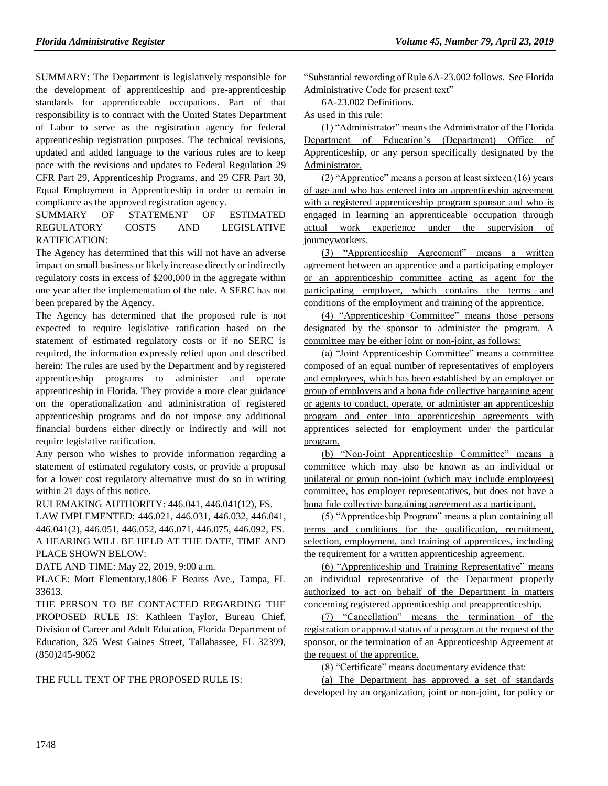SUMMARY: The Department is legislatively responsible for the development of apprenticeship and pre-apprenticeship standards for apprenticeable occupations. Part of that responsibility is to contract with the United States Department of Labor to serve as the registration agency for federal apprenticeship registration purposes. The technical revisions, updated and added language to the various rules are to keep pace with the revisions and updates to Federal Regulation 29 CFR Part 29, Apprenticeship Programs, and 29 CFR Part 30, Equal Employment in Apprenticeship in order to remain in compliance as the approved registration agency.

SUMMARY OF STATEMENT OF ESTIMATED REGULATORY COSTS AND LEGISLATIVE RATIFICATION:

The Agency has determined that this will not have an adverse impact on small business or likely increase directly or indirectly regulatory costs in excess of \$200,000 in the aggregate within one year after the implementation of the rule. A SERC has not been prepared by the Agency.

The Agency has determined that the proposed rule is not expected to require legislative ratification based on the statement of estimated regulatory costs or if no SERC is required, the information expressly relied upon and described herein: The rules are used by the Department and by registered apprenticeship programs to administer and operate apprenticeship in Florida. They provide a more clear guidance on the operationalization and administration of registered apprenticeship programs and do not impose any additional financial burdens either directly or indirectly and will not require legislative ratification.

Any person who wishes to provide information regarding a statement of estimated regulatory costs, or provide a proposal for a lower cost regulatory alternative must do so in writing within 21 days of this notice.

RULEMAKING AUTHORITY: [446.041,](https://www.flrules.org/gateway/statute.asp?id=%20446.041) [446.041\(12\),](https://www.flrules.org/gateway/statute.asp?id=%20446.041(12)) FS.

LAW IMPLEMENTED: [446.021,](https://www.flrules.org/gateway/statute.asp?id=446.021) [446.031,](https://www.flrules.org/gateway/statute.asp?id=%20446.031) [446.032,](https://www.flrules.org/gateway/statute.asp?id=%20446.032) [446.041,](https://www.flrules.org/gateway/statute.asp?id=%20446.041) [446.041\(2\),](https://www.flrules.org/gateway/statute.asp?id=%20446.041(2)) [446.051,](https://www.flrules.org/gateway/statute.asp?id=%20446.051) [446.052,](https://www.flrules.org/gateway/statute.asp?id=%20446.052) [446.071,](https://www.flrules.org/gateway/statute.asp?id=%20446.071) [446.075,](https://www.flrules.org/gateway/statute.asp?id=%20446.075) [446.092,](https://www.flrules.org/gateway/statute.asp?id=%20446.092) FS. A HEARING WILL BE HELD AT THE DATE, TIME AND PLACE SHOWN BELOW:

DATE AND TIME: May 22, 2019, 9:00 a.m.

PLACE: Mort Elementary,1806 E Bearss Ave., Tampa, FL 33613.

THE PERSON TO BE CONTACTED REGARDING THE PROPOSED RULE IS: Kathleen Taylor, Bureau Chief, Division of Career and Adult Education, Florida Department of Education, 325 West Gaines Street, Tallahassee, FL 32399, (850)245-9062

THE FULL TEXT OF THE PROPOSED RULE IS:

"Substantial rewording of Rule 6A-23.002 follows. See Florida Administrative Code for present text"

6A-23.002 Definitions.

As used in this rule:

(1) "Administrator" means the Administrator of the Florida Department of Education's (Department) Office of Apprenticeship, or any person specifically designated by the Administrator.

(2) "Apprentice" means a person at least sixteen (16) years of age and who has entered into an apprenticeship agreement with a registered apprenticeship program sponsor and who is engaged in learning an apprenticeable occupation through actual work experience under the supervision of journeyworkers.

(3) "Apprenticeship Agreement" means a written agreement between an apprentice and a participating employer or an apprenticeship committee acting as agent for the participating employer, which contains the terms and conditions of the employment and training of the apprentice.

(4) "Apprenticeship Committee" means those persons designated by the sponsor to administer the program. A committee may be either joint or non-joint, as follows:

(a) "Joint Apprenticeship Committee" means a committee composed of an equal number of representatives of employers and employees, which has been established by an employer or group of employers and a bona fide collective bargaining agent or agents to conduct, operate, or administer an apprenticeship program and enter into apprenticeship agreements with apprentices selected for employment under the particular program.

(b) "Non-Joint Apprenticeship Committee" means a committee which may also be known as an individual or unilateral or group non-joint (which may include employees) committee, has employer representatives, but does not have a bona fide collective bargaining agreement as a participant.

(5) "Apprenticeship Program" means a plan containing all terms and conditions for the qualification, recruitment, selection, employment, and training of apprentices, including the requirement for a written apprenticeship agreement.

(6) "Apprenticeship and Training Representative" means an individual representative of the Department properly authorized to act on behalf of the Department in matters concerning registered apprenticeship and preapprenticeship.

(7) "Cancellation" means the termination of the registration or approval status of a program at the request of the sponsor, or the termination of an Apprenticeship Agreement at the request of the apprentice.

(8) "Certificate" means documentary evidence that:

(a) The Department has approved a set of standards developed by an organization, joint or non-joint, for policy or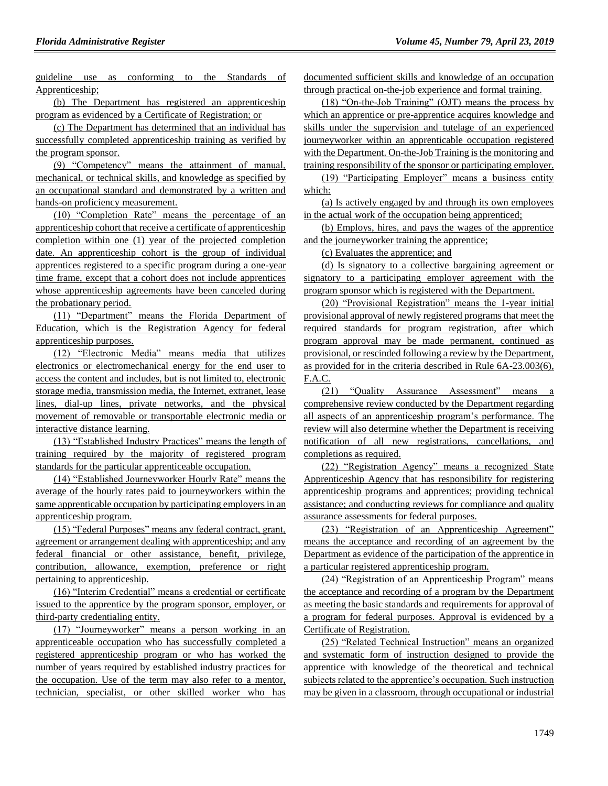guideline use as conforming to the Standards of Apprenticeship;

(b) The Department has registered an apprenticeship program as evidenced by a Certificate of Registration; or

(c) The Department has determined that an individual has successfully completed apprenticeship training as verified by the program sponsor.

(9) "Competency" means the attainment of manual, mechanical, or technical skills, and knowledge as specified by an occupational standard and demonstrated by a written and hands-on proficiency measurement.

(10) "Completion Rate" means the percentage of an apprenticeship cohort that receive a certificate of apprenticeship completion within one (1) year of the projected completion date. An apprenticeship cohort is the group of individual apprentices registered to a specific program during a one-year time frame, except that a cohort does not include apprentices whose apprenticeship agreements have been canceled during the probationary period.

(11) "Department" means the Florida Department of Education, which is the Registration Agency for federal apprenticeship purposes.

(12) "Electronic Media" means media that utilizes electronics or electromechanical energy for the end user to access the content and includes, but is not limited to, electronic storage media, transmission media, the Internet, extranet, lease lines, dial-up lines, private networks, and the physical movement of removable or transportable electronic media or interactive distance learning.

(13) "Established Industry Practices" means the length of training required by the majority of registered program standards for the particular apprenticeable occupation.

(14) "Established Journeyworker Hourly Rate" means the average of the hourly rates paid to journeyworkers within the same apprenticable occupation by participating employers in an apprenticeship program.

(15) "Federal Purposes" means any federal contract, grant, agreement or arrangement dealing with apprenticeship; and any federal financial or other assistance, benefit, privilege, contribution, allowance, exemption, preference or right pertaining to apprenticeship.

(16) "Interim Credential" means a credential or certificate issued to the apprentice by the program sponsor, employer, or third-party credentialing entity.

(17) "Journeyworker" means a person working in an apprenticeable occupation who has successfully completed a registered apprenticeship program or who has worked the number of years required by established industry practices for the occupation. Use of the term may also refer to a mentor, technician, specialist, or other skilled worker who has documented sufficient skills and knowledge of an occupation through practical on-the-job experience and formal training.

(18) "On-the-Job Training" (OJT) means the process by which an apprentice or pre-apprentice acquires knowledge and skills under the supervision and tutelage of an experienced journeyworker within an apprenticable occupation registered with the Department. On-the-Job Training is the monitoring and training responsibility of the sponsor or participating employer.

(19) "Participating Employer" means a business entity which:

(a) Is actively engaged by and through its own employees in the actual work of the occupation being apprenticed;

(b) Employs, hires, and pays the wages of the apprentice and the journeyworker training the apprentice;

(c) Evaluates the apprentice; and

(d) Is signatory to a collective bargaining agreement or signatory to a participating employer agreement with the program sponsor which is registered with the Department.

(20) "Provisional Registration" means the 1-year initial provisional approval of newly registered programs that meet the required standards for program registration, after which program approval may be made permanent, continued as provisional, or rescinded following a review by the Department, as provided for in the criteria described in Rule 6A-23.003(6), F.A.C.

(21) "Quality Assurance Assessment" means a comprehensive review conducted by the Department regarding all aspects of an apprenticeship program's performance. The review will also determine whether the Department is receiving notification of all new registrations, cancellations, and completions as required.

(22) "Registration Agency" means a recognized State Apprenticeship Agency that has responsibility for registering apprenticeship programs and apprentices; providing technical assistance; and conducting reviews for compliance and quality assurance assessments for federal purposes.

(23) "Registration of an Apprenticeship Agreement" means the acceptance and recording of an agreement by the Department as evidence of the participation of the apprentice in a particular registered apprenticeship program.

(24) "Registration of an Apprenticeship Program" means the acceptance and recording of a program by the Department as meeting the basic standards and requirements for approval of a program for federal purposes. Approval is evidenced by a Certificate of Registration.

(25) "Related Technical Instruction" means an organized and systematic form of instruction designed to provide the apprentice with knowledge of the theoretical and technical subjects related to the apprentice's occupation. Such instruction may be given in a classroom, through occupational or industrial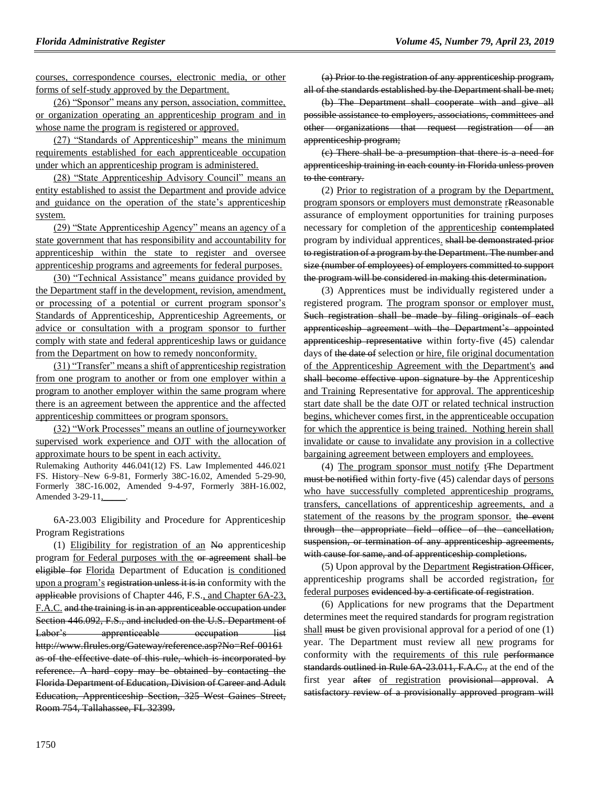courses, correspondence courses, electronic media, or other forms of self-study approved by the Department.

(26) "Sponsor" means any person, association, committee, or organization operating an apprenticeship program and in whose name the program is registered or approved.

(27) "Standards of Apprenticeship" means the minimum requirements established for each apprenticeable occupation under which an apprenticeship program is administered.

(28) "State Apprenticeship Advisory Council" means an entity established to assist the Department and provide advice and guidance on the operation of the state's apprenticeship system.

(29) "State Apprenticeship Agency" means an agency of a state government that has responsibility and accountability for apprenticeship within the state to register and oversee apprenticeship programs and agreements for federal purposes.

(30) "Technical Assistance" means guidance provided by the Department staff in the development, revision, amendment, or processing of a potential or current program sponsor's Standards of Apprenticeship, Apprenticeship Agreements, or advice or consultation with a program sponsor to further comply with state and federal apprenticeship laws or guidance from the Department on how to remedy nonconformity.

(31) "Transfer" means a shift of apprenticeship registration from one program to another or from one employer within a program to another employer within the same program where there is an agreement between the apprentice and the affected apprenticeship committees or program sponsors.

(32) "Work Processes" means an outline of journeyworker supervised work experience and OJT with the allocation of approximate hours to be spent in each activity.

Rulemaking Authority 446.041(12) FS. Law Implemented 446.021 FS. History–New 6-9-81, Formerly 38C-16.02, Amended 5-29-90, Formerly 38C-16.002, Amended 9-4-97, Formerly 38H-16.002, Amended 3-29-11,\_\_\_\_\_.

6A-23.003 Eligibility and Procedure for Apprenticeship Program Registrations

(1) Eligibility for registration of an No apprenticeship program for Federal purposes with the or agreement shall be eligible for Florida Department of Education is conditioned upon a program's registration unless it is in conformity with the applicable provisions of Chapter 446, F.S., and Chapter 6A-23, F.A.C. and the training is in an apprenticeable occupation under Section 446.092, F.S., and included on the U.S. Department of Labor's apprenticeable occupation list http://www.flrules.org/Gateway/reference.asp?No=Ref-00161 as of the effective date of this rule, which is incorporated by reference. A hard copy may be obtained by contacting the Florida Department of Education, Division of Career and Adult Education, Apprenticeship Section, 325 West Gaines Street, Room 754, Tallahassee, FL 32399.

(a) Prior to the registration of any apprenticeship program, all of the standards established by the Department shall be met;

(b) The Department shall cooperate with and give all possible assistance to employers, associations, committees and other organizations that request registration of an apprenticeship program;

(c) There shall be a presumption that there is a need for apprenticeship training in each county in Florida unless proven to the contrary.

(2) Prior to registration of a program by the Department, program sponsors or employers must demonstrate rReasonable assurance of employment opportunities for training purposes necessary for completion of the apprenticeship contemplated program by individual apprentices. shall be demonstrated prior to registration of a program by the Department. The number and size (number of employees) of employers committed to support the program will be considered in making this determination.

(3) Apprentices must be individually registered under a registered program. The program sponsor or employer must, Such registration shall be made by filing originals of each apprenticeship agreement with the Department's appointed apprenticeship representative within forty-five (45) calendar days of the date of selection or hire, file original documentation of the Apprenticeship Agreement with the Department's and shall become effective upon signature by the Apprenticeship and Training Representative for approval. The apprenticeship start date shall be the date OJT or related technical instruction begins, whichever comes first, in the apprenticeable occupation for which the apprentice is being trained. Nothing herein shall invalidate or cause to invalidate any provision in a collective bargaining agreement between employers and employees.

(4) The program sponsor must notify tThe Department must be notified within forty-five (45) calendar days of persons who have successfully completed apprenticeship programs, transfers, cancellations of apprenticeship agreements, and a statement of the reasons by the program sponsor, the event through the appropriate field office of the cancellation, suspension, or termination of any apprenticeship agreements, with cause for same, and of apprenticeship completions.

(5) Upon approval by the Department Registration Officer, apprenticeship programs shall be accorded registration, for federal purposes evidenced by a certificate of registration.

(6) Applications for new programs that the Department determines meet the required standards for program registration shall must be given provisional approval for a period of one  $(1)$ year. The Department must review all new programs for conformity with the requirements of this rule performance standards outlined in Rule 6A-23.011, F.A.C., at the end of the first year after of registration provisional approval. A satisfactory review of a provisionally approved program will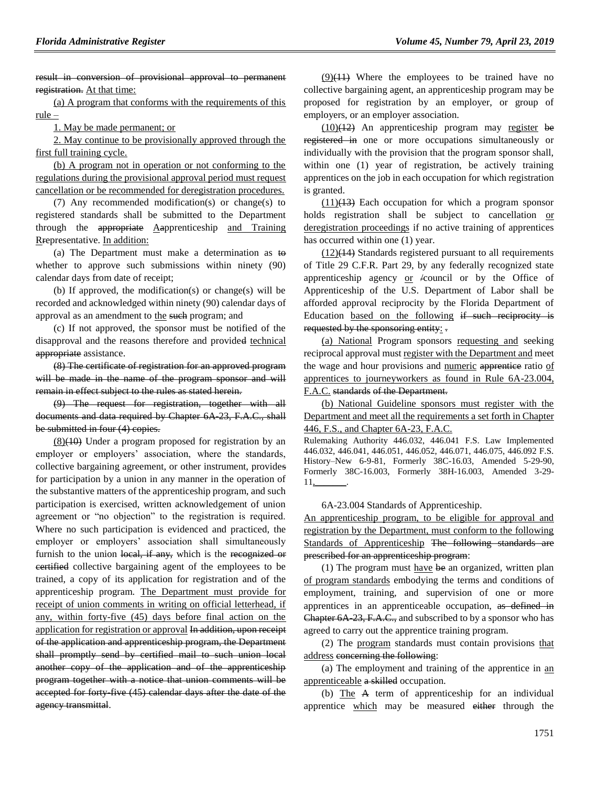result in conversion of provisional approval to permanent registration. At that time:

(a) A program that conforms with the requirements of this rule –

1. May be made permanent; or

2. May continue to be provisionally approved through the first full training cycle.

(b) A program not in operation or not conforming to the regulations during the provisional approval period must request cancellation or be recommended for deregistration procedures.

(7) Any recommended modification(s) or change(s) to registered standards shall be submitted to the Department through the appropriate Aapprenticeship and Training Rrepresentative. In addition:

(a) The Department must make a determination as to whether to approve such submissions within ninety (90) calendar days from date of receipt;

(b) If approved, the modification(s) or change(s) will be recorded and acknowledged within ninety (90) calendar days of approval as an amendment to the such program; and

(c) If not approved, the sponsor must be notified of the disapproval and the reasons therefore and provided technical appropriate assistance.

(8) The certificate of registration for an approved program will be made in the name of the program sponsor and will remain in effect subject to the rules as stated herein.

(9) The request for registration, together with all documents and data required by Chapter 6A-23, F.A.C., shall be submitted in four (4) copies.

(8)(10) Under a program proposed for registration by an employer or employers' association, where the standards, collective bargaining agreement, or other instrument, provides for participation by a union in any manner in the operation of the substantive matters of the apprenticeship program, and such participation is exercised, written acknowledgement of union agreement or "no objection" to the registration is required. Where no such participation is evidenced and practiced, the employer or employers' association shall simultaneously furnish to the union local, if any, which is the recognized or certified collective bargaining agent of the employees to be trained, a copy of its application for registration and of the apprenticeship program. The Department must provide for receipt of union comments in writing on official letterhead, if any, within forty-five (45) days before final action on the application for registration or approval In addition, upon receipt of the application and apprenticeship program, the Department shall promptly send by certified mail to such union local another copy of the application and of the apprenticeship program together with a notice that union comments will be accepted for forty five (45) calendar days after the date of the agency transmittal.

 $(9)(11)$  Where the employees to be trained have no collective bargaining agent, an apprenticeship program may be proposed for registration by an employer, or group of employers, or an employer association.

 $(10)(12)$  An apprenticeship program may register be registered in one or more occupations simultaneously or individually with the provision that the program sponsor shall, within one (1) year of registration, be actively training apprentices on the job in each occupation for which registration is granted.

 $(11)(13)$  Each occupation for which a program sponsor holds registration shall be subject to cancellation or deregistration proceedings if no active training of apprentices has occurred within one (1) year.

 $(12)(14)$  Standards registered pursuant to all requirements of Title 29 C.F.R. Part 29, by any federally recognized state apprenticeship agency  $or$  /council or by the Office of Apprenticeship of the U.S. Department of Labor shall be afforded approval reciprocity by the Florida Department of Education based on the following if such reciprocity is requested by the sponsoring entity: -

(a) National Program sponsors requesting and seeking reciprocal approval must register with the Department and meet the wage and hour provisions and numeric apprentice ratio of apprentices to journeyworkers as found in Rule 6A-23.004, F.A.C. standards of the Department.

(b) National Guideline sponsors must register with the Department and meet all the requirements a set forth in Chapter 446, F.S., and Chapter 6A-23, F.A.C.

Rulemaking Authority 446.032, 446.041 F.S. Law Implemented 446.032, 446.041, 446.051, 446.052, 446.071, 446.075, 446.092 F.S. History–New 6-9-81, Formerly 38C-16.03, Amended 5-29-90, Formerly 38C-16.003, Formerly 38H-16.003, Amended 3-29- 11,\_\_\_\_\_\_\_.

#### 6A-23.004 Standards of Apprenticeship.

An apprenticeship program, to be eligible for approval and registration by the Department, must conform to the following Standards of Apprenticeship The following standards are prescribed for an apprenticeship program:

(1) The program must have be an organized, written plan of program standards embodying the terms and conditions of employment, training, and supervision of one or more apprentices in an apprenticeable occupation, as defined in Chapter 6A-23, F.A.C., and subscribed to by a sponsor who has agreed to carry out the apprentice training program.

(2) The program standards must contain provisions that address concerning the following:

(a) The employment and training of the apprentice in an apprenticeable a skilled occupation.

(b) The A term of apprenticeship for an individual apprentice which may be measured either through the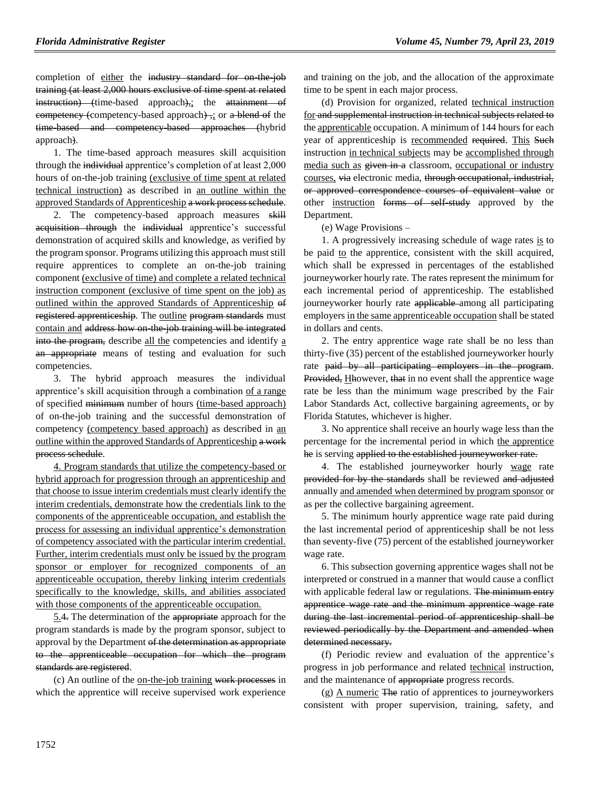completion of either the industry standard for on-the-job training (at least 2,000 hours exclusive of time spent at related instruction) (time-based approach),; the attainment of competency (competency-based approach) ,; or a blend of the time-based and competency-based approaches (hybrid approach).

1. The time-based approach measures skill acquisition through the individual apprentice's completion of at least 2,000 hours of on-the-job training (exclusive of time spent at related technical instruction) as described in an outline within the approved Standards of Apprenticeship a work process schedule.

2. The competency-based approach measures skill acquisition through the individual apprentice's successful demonstration of acquired skills and knowledge, as verified by the program sponsor. Programs utilizing this approach must still require apprentices to complete an on-the-job training component (exclusive of time) and complete a related technical instruction component (exclusive of time spent on the job) as outlined within the approved Standards of Apprenticeship of registered apprenticeship. The outline program standards must contain and address how on the job training will be integrated into the program, describe all the competencies and identify a an appropriate means of testing and evaluation for such competencies.

3. The hybrid approach measures the individual apprentice's skill acquisition through a combination of a range of specified minimum number of hours (time-based approach) of on-the-job training and the successful demonstration of competency (competency based approach) as described in an outline within the approved Standards of Apprenticeship a work process schedule.

4. Program standards that utilize the competency-based or hybrid approach for progression through an apprenticeship and that choose to issue interim credentials must clearly identify the interim credentials, demonstrate how the credentials link to the components of the apprenticeable occupation, and establish the process for assessing an individual apprentice's demonstration of competency associated with the particular interim credential. Further, interim credentials must only be issued by the program sponsor or employer for recognized components of an apprenticeable occupation, thereby linking interim credentials specifically to the knowledge, skills, and abilities associated with those components of the apprenticeable occupation.

5.4. The determination of the appropriate approach for the program standards is made by the program sponsor, subject to approval by the Department of the determination as appropriate to the apprenticeable occupation for which the program standards are registered.

(c) An outline of the on-the-job training work processes in which the apprentice will receive supervised work experience

and training on the job, and the allocation of the approximate time to be spent in each major process.

(d) Provision for organized, related technical instruction for and supplemental instruction in technical subjects related to the apprenticable occupation. A minimum of 144 hours for each year of apprenticeship is recommended required. This Such instruction in technical subjects may be accomplished through media such as given in a classroom, occupational or industry courses, via electronic media, through occupational, industrial, or approved correspondence courses of equivalent value or other instruction forms of self-study approved by the Department.

(e) Wage Provisions –

1. A progressively increasing schedule of wage rates is to be paid to the apprentice, consistent with the skill acquired, which shall be expressed in percentages of the established journeyworker hourly rate. The rates represent the minimum for each incremental period of apprenticeship. The established journeyworker hourly rate applicable among all participating employers in the same apprenticeable occupation shall be stated in dollars and cents.

2. The entry apprentice wage rate shall be no less than thirty-five (35) percent of the established journeyworker hourly rate paid by all participating employers in the program. Provided, Hhowever, that in no event shall the apprentice wage rate be less than the minimum wage prescribed by the Fair Labor Standards Act, collective bargaining agreements, or by Florida Statutes, whichever is higher.

3. No apprentice shall receive an hourly wage less than the percentage for the incremental period in which the apprentice he is serving applied to the established journeyworker rate.

4. The established journeyworker hourly wage rate provided for by the standards shall be reviewed and adjusted annually and amended when determined by program sponsor or as per the collective bargaining agreement.

5. The minimum hourly apprentice wage rate paid during the last incremental period of apprenticeship shall be not less than seventy-five (75) percent of the established journeyworker wage rate.

6. This subsection governing apprentice wages shall not be interpreted or construed in a manner that would cause a conflict with applicable federal law or regulations. The minimum entry apprentice wage rate and the minimum apprentice wage rate during the last incremental period of apprenticeship shall be reviewed periodically by the Department and amended when determined necessary.

(f) Periodic review and evaluation of the apprentice's progress in job performance and related technical instruction, and the maintenance of appropriate progress records.

(g) A numeric The ratio of apprentices to journeyworkers consistent with proper supervision, training, safety, and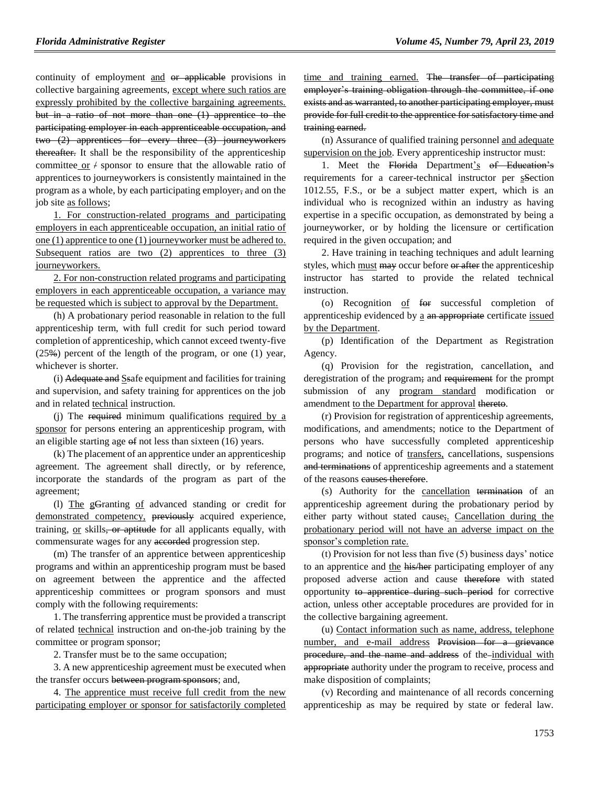continuity of employment and or applicable provisions in collective bargaining agreements, except where such ratios are expressly prohibited by the collective bargaining agreements. but in a ratio of not more than one (1) apprentice to the participating employer in each apprenticeable occupation, and two (2) apprentices for every three (3) journeyworkers thereafter. It shall be the responsibility of the apprenticeship committee or  $\neq$  sponsor to ensure that the allowable ratio of apprentices to journeyworkers is consistently maintained in the program as a whole, by each participating employer, and on the job site as follows;

1. For construction-related programs and participating employers in each apprenticeable occupation, an initial ratio of one (1) apprentice to one (1) journeyworker must be adhered to. Subsequent ratios are two (2) apprentices to three (3) journeyworkers.

2. For non-construction related programs and participating employers in each apprenticeable occupation, a variance may be requested which is subject to approval by the Department.

(h) A probationary period reasonable in relation to the full apprenticeship term, with full credit for such period toward completion of apprenticeship, which cannot exceed twenty-five  $(25\%)$  percent of the length of the program, or one (1) year, whichever is shorter.

(i) Adequate and Ssafe equipment and facilities for training and supervision, and safety training for apprentices on the job and in related technical instruction.

(j) The required minimum qualifications required by a sponsor for persons entering an apprenticeship program, with an eligible starting age  $\Theta$  not less than sixteen (16) years.

(k) The placement of an apprentice under an apprenticeship agreement. The agreement shall directly, or by reference, incorporate the standards of the program as part of the agreement;

(l) The gGranting of advanced standing or credit for demonstrated competency, previously acquired experience, training, or skills, or aptitude for all applicants equally, with commensurate wages for any accorded progression step.

(m) The transfer of an apprentice between apprenticeship programs and within an apprenticeship program must be based on agreement between the apprentice and the affected apprenticeship committees or program sponsors and must comply with the following requirements:

1. The transferring apprentice must be provided a transcript of related technical instruction and on-the-job training by the committee or program sponsor;

2. Transfer must be to the same occupation;

3. A new apprenticeship agreement must be executed when the transfer occurs between program sponsors; and,

4. The apprentice must receive full credit from the new participating employer or sponsor for satisfactorily completed

time and training earned. The transfer of participating employer's training obligation through the committee, if one exists and as warranted, to another participating employer, must provide for full credit to the apprentice for satisfactory time and training earned.

(n) Assurance of qualified training personnel and adequate supervision on the job. Every apprenticeship instructor must:

1. Meet the Florida Department's of Education's requirements for a career-technical instructor per sSection 1012.55, F.S., or be a subject matter expert, which is an individual who is recognized within an industry as having expertise in a specific occupation, as demonstrated by being a journeyworker, or by holding the licensure or certification required in the given occupation; and

2. Have training in teaching techniques and adult learning styles, which must may occur before or after the apprenticeship instructor has started to provide the related technical instruction.

(o) Recognition of for successful completion of apprenticeship evidenced by a an appropriate certificate issued by the Department.

(p) Identification of the Department as Registration Agency.

(q) Provision for the registration, cancellation, and deregistration of the program; and requirement for the prompt submission of any program standard modification or amendment to the Department for approval thereto.

(r) Provision for registration of apprenticeship agreements, modifications, and amendments; notice to the Department of persons who have successfully completed apprenticeship programs; and notice of transfers, cancellations, suspensions and terminations of apprenticeship agreements and a statement of the reasons eauses therefore.

(s) Authority for the cancellation termination of an apprenticeship agreement during the probationary period by either party without stated cause; Cancellation during the probationary period will not have an adverse impact on the sponsor's completion rate.

(t) Provision for not less than five (5) business days' notice to an apprentice and the his/her participating employer of any proposed adverse action and cause therefore with stated opportunity to apprentice during such period for corrective action, unless other acceptable procedures are provided for in the collective bargaining agreement.

(u) Contact information such as name, address, telephone number, and e-mail address Provision for a grievance procedure, and the name and address of the-individual with appropriate authority under the program to receive, process and make disposition of complaints;

(v) Recording and maintenance of all records concerning apprenticeship as may be required by state or federal law.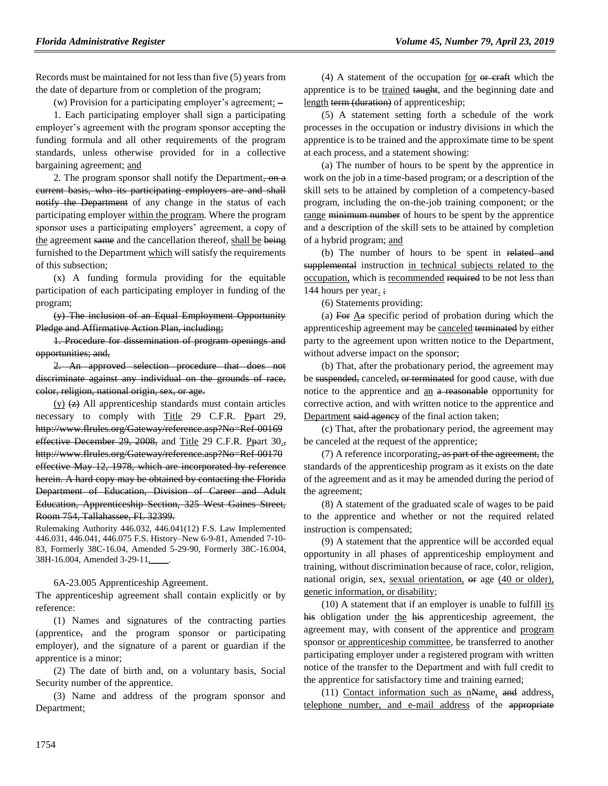Records must be maintained for not less than five (5) years from the date of departure from or completion of the program;

(w) Provision for a participating employer's agreement: –

1. Each participating employer shall sign a participating employer's agreement with the program sponsor accepting the funding formula and all other requirements of the program standards, unless otherwise provided for in a collective bargaining agreement; and

2. The program sponsor shall notify the Department, on a current basis, who its participating employers are and shall notify the Department of any change in the status of each participating employer within the program. Where the program sponsor uses a participating employers' agreement, a copy of the agreement same and the cancellation thereof, shall be being furnished to the Department which will satisfy the requirements of this subsection;

(x) A funding formula providing for the equitable participation of each participating employer in funding of the program;

(y) The inclusion of an Equal Employment Opportunity Pledge and Affirmative Action Plan, including;

1. Procedure for dissemination of program openings and opportunities; and,

2. An approved selection procedure that does not discriminate against any individual on the grounds of race, color, religion, national origin, sex, or age.

 $(y)$   $(z)$  All apprenticeship standards must contain articles necessary to comply with Title 29 C.F.R. Ppart 29, http://www.flrules.org/Gateway/reference.asp?No=Ref-00169 effective December 29, 2008, and Title 29 C.F.R. Ppart 30. http://www.flrules.org/Gateway/reference.asp?No=Ref-00170 effective May 12, 1978, which are incorporated by reference herein. A hard copy may be obtained by contacting the Florida Department of Education, Division of Career and Adult Education, Apprenticeship Section, 325 West Gaines Street, Room 754, Tallahassee, FL 32399.

Rulemaking Authority 446.032, 446.041(12) F.S. Law Implemented 446.031, 446.041, 446.075 F.S. History–New 6-9-81, Amended 7-10- 83, Formerly 38C-16.04, Amended 5-29-90, Formerly 38C-16.004, 38H-16.004, Amended 3-29-11,\_\_\_\_.

6A-23.005 Apprenticeship Agreement.

The apprenticeship agreement shall contain explicitly or by reference:

(1) Names and signatures of the contracting parties (apprentice, and the program sponsor or participating employer), and the signature of a parent or guardian if the apprentice is a minor;

(2) The date of birth and, on a voluntary basis, Social Security number of the apprentice.

(3) Name and address of the program sponsor and Department;

(4) A statement of the occupation for  $er$  craft which the apprentice is to be trained taught, and the beginning date and length term (duration) of apprenticeship;

(5) A statement setting forth a schedule of the work processes in the occupation or industry divisions in which the apprentice is to be trained and the approximate time to be spent at each process, and a statement showing:

(a) The number of hours to be spent by the apprentice in work on the job in a time-based program; or a description of the skill sets to be attained by completion of a competency-based program, including the on-the-job training component; or the range minimum number of hours to be spent by the apprentice and a description of the skill sets to be attained by completion of a hybrid program; and

(b) The number of hours to be spent in related and supplemental instruction in technical subjects related to the occupation, which is recommended required to be not less than 144 hours per year. ;

(6) Statements providing:

(a) For  $\underline{A}a$  specific period of probation during which the apprenticeship agreement may be canceled terminated by either party to the agreement upon written notice to the Department, without adverse impact on the sponsor;

(b) That, after the probationary period, the agreement may be suspended, canceled, or terminated for good cause, with due notice to the apprentice and an a reasonable opportunity for corrective action, and with written notice to the apprentice and Department said agency of the final action taken;

(c) That, after the probationary period, the agreement may be canceled at the request of the apprentice;

(7) A reference incorporating, as part of the agreement, the standards of the apprenticeship program as it exists on the date of the agreement and as it may be amended during the period of the agreement;

(8) A statement of the graduated scale of wages to be paid to the apprentice and whether or not the required related instruction is compensated;

(9) A statement that the apprentice will be accorded equal opportunity in all phases of apprenticeship employment and training, without discrimination because of race, color, religion, national origin, sex, sexual orientation, or age (40 or older), genetic information, or disability;

 $(10)$  A statement that if an employer is unable to fulfill its his obligation under the his apprenticeship agreement, the agreement may, with consent of the apprentice and program sponsor or apprenticeship committee, be transferred to another participating employer under a registered program with written notice of the transfer to the Department and with full credit to the apprentice for satisfactory time and training earned;

(11) Contact information such as nName, and address, telephone number, and e-mail address of the appropriate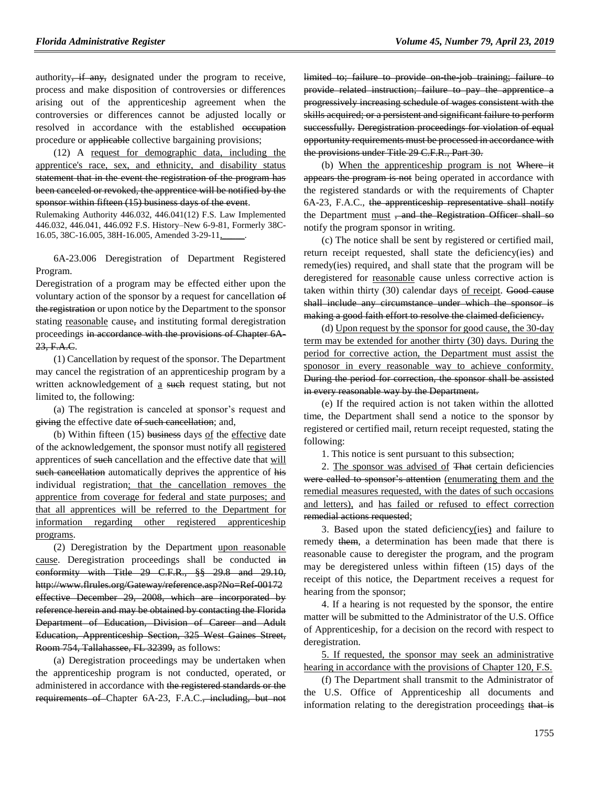authority, if any, designated under the program to receive, process and make disposition of controversies or differences arising out of the apprenticeship agreement when the controversies or differences cannot be adjusted locally or resolved in accordance with the established occupation procedure or applicable collective bargaining provisions;

(12) A request for demographic data, including the apprentice's race, sex, and ethnicity, and disability status statement that in the event the registration of the program has been canceled or revoked, the apprentice will be notified by the sponsor within fifteen (15) business days of the event.

Rulemaking Authority 446.032, 446.041(12) F.S. Law Implemented 446.032, 446.041, 446.092 F.S. History–New 6-9-81, Formerly 38C-16.05, 38C-16.005, 38H-16.005, Amended 3-29-11,

6A-23.006 Deregistration of Department Registered Program.

Deregistration of a program may be effected either upon the voluntary action of the sponsor by a request for cancellation of the registration or upon notice by the Department to the sponsor stating reasonable cause, and instituting formal deregistration proceedings in accordance with the provisions of Chapter 6A-23, F.A.C.

(1) Cancellation by request of the sponsor. The Department may cancel the registration of an apprenticeship program by a written acknowledgement of a such request stating, but not limited to, the following:

(a) The registration is canceled at sponsor's request and giving the effective date of such cancellation; and,

(b) Within fifteen (15) business days of the effective date of the acknowledgement, the sponsor must notify all registered apprentices of such cancellation and the effective date that will such cancellation automatically deprives the apprentice of his individual registration; that the cancellation removes the apprentice from coverage for federal and state purposes; and that all apprentices will be referred to the Department for information regarding other registered apprenticeship programs.

(2) Deregistration by the Department upon reasonable cause. Deregistration proceedings shall be conducted in conformity with Title 29 C.F.R., §§ 29.8 and 29.10, http://www.flrules.org/Gateway/reference.asp?No=Ref-00172 effective December 29, 2008, which are incorporated by reference herein and may be obtained by contacting the Florida Department of Education, Division of Career and Adult Education, Apprenticeship Section, 325 West Gaines Street, Room 754, Tallahassee, FL 32399, as follows:

(a) Deregistration proceedings may be undertaken when the apprenticeship program is not conducted, operated, or administered in accordance with the registered standards or the requirements of Chapter 6A-23, F.A.C., including, but not

limited to; failure to provide on the job training; failure to provide related instruction; failure to pay the apprentice a progressively increasing schedule of wages consistent with the skills acquired; or a persistent and significant failure to perform successfully. Deregistration proceedings for violation of equal opportunity requirements must be processed in accordance with the provisions under Title 29 C.F.R., Part 30.

(b) When the apprenticeship program is not Where it appears the program is not being operated in accordance with the registered standards or with the requirements of Chapter 6A-23, F.A.C., the apprenticeship representative shall notify the Department must, and the Registration Officer shall so notify the program sponsor in writing.

(c) The notice shall be sent by registered or certified mail, return receipt requested, shall state the deficiency(ies) and remedy(ies) required, and shall state that the program will be deregistered for reasonable cause unless corrective action is taken within thirty (30) calendar days of receipt. Good cause shall include any circumstance under which the sponsor is making a good faith effort to resolve the claimed deficiency.

(d) Upon request by the sponsor for good cause, the 30-day term may be extended for another thirty (30) days. During the period for corrective action, the Department must assist the sponosor in every reasonable way to achieve conformity. During the period for correction, the sponsor shall be assisted in every reasonable way by the Department.

(e) If the required action is not taken within the allotted time, the Department shall send a notice to the sponsor by registered or certified mail, return receipt requested, stating the following:

1. This notice is sent pursuant to this subsection;

2. The sponsor was advised of That certain deficiencies were called to sponsor's attention (enumerating them and the remedial measures requested, with the dates of such occasions and letters), and has failed or refused to effect correction remedial actions requested;

3. Based upon the stated deficiency(ies) and failure to remedy them, a determination has been made that there is reasonable cause to deregister the program, and the program may be deregistered unless within fifteen (15) days of the receipt of this notice, the Department receives a request for hearing from the sponsor;

4. If a hearing is not requested by the sponsor, the entire matter will be submitted to the Administrator of the U.S. Office of Apprenticeship, for a decision on the record with respect to deregistration.

5. If requested, the sponsor may seek an administrative hearing in accordance with the provisions of Chapter 120, F.S.

(f) The Department shall transmit to the Administrator of the U.S. Office of Apprenticeship all documents and information relating to the deregistration proceedings that is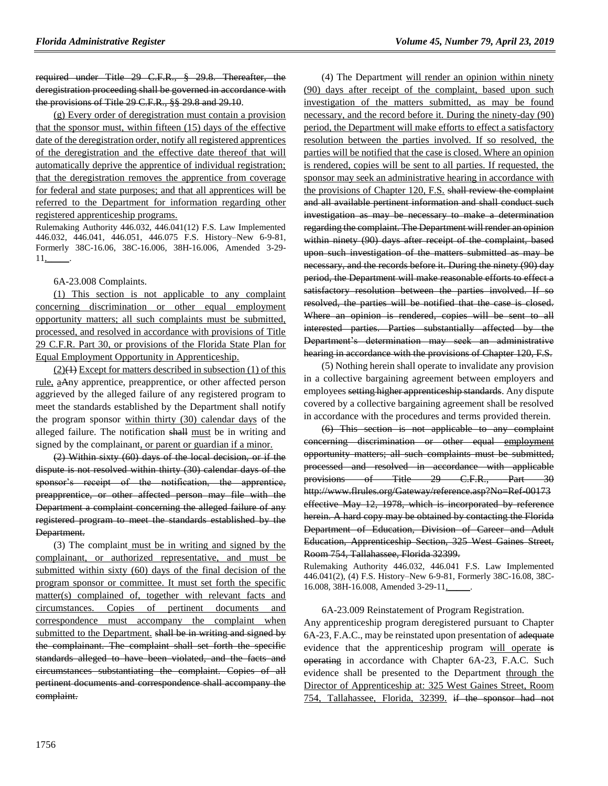required under Title 29 C.F.R., § 29.8. Thereafter, the deregistration proceeding shall be governed in accordance with the provisions of Title 29 C.F.R., §§ 29.8 and 29.10.

(g) Every order of deregistration must contain a provision that the sponsor must, within fifteen (15) days of the effective date of the deregistration order, notify all registered apprentices of the deregistration and the effective date thereof that will automatically deprive the apprentice of individual registration; that the deregistration removes the apprentice from coverage for federal and state purposes; and that all apprentices will be referred to the Department for information regarding other registered apprenticeship programs.

Rulemaking Authority 446.032, 446.041(12) F.S. Law Implemented 446.032, 446.041, 446.051, 446.075 F.S. History–New 6-9-81, Formerly 38C-16.06, 38C-16.006, 38H-16.006, Amended 3-29- 11,\_\_\_\_\_.

#### 6A-23.008 Complaints.

(1) This section is not applicable to any complaint concerning discrimination or other equal employment opportunity matters; all such complaints must be submitted, processed, and resolved in accordance with provisions of Title 29 C.F.R. Part 30, or provisions of the Florida State Plan for Equal Employment Opportunity in Apprenticeship.

 $(2)(1)$  Except for matters described in subsection (1) of this rule, aAny apprentice, preapprentice, or other affected person aggrieved by the alleged failure of any registered program to meet the standards established by the Department shall notify the program sponsor within thirty (30) calendar days of the alleged failure. The notification shall must be in writing and signed by the complainant, or parent or guardian if a minor.

(2) Within sixty (60) days of the local decision, or if the dispute is not resolved within thirty (30) calendar days of the sponsor's receipt of the notification, the apprentice, preapprentice, or other affected person may file with the Department a complaint concerning the alleged failure of any registered program to meet the standards established by the Department.

(3) The complaint must be in writing and signed by the complainant, or authorized representative, and must be submitted within sixty (60) days of the final decision of the program sponsor or committee. It must set forth the specific matter(s) complained of, together with relevant facts and circumstances. Copies of pertinent documents and correspondence must accompany the complaint when submitted to the Department. shall be in writing and signed by the complainant. The complaint shall set forth the specific standards alleged to have been violated, and the facts and circumstances substantiating the complaint. Copies of all pertinent documents and correspondence shall accompany the complaint.

(4) The Department will render an opinion within ninety (90) days after receipt of the complaint, based upon such investigation of the matters submitted, as may be found necessary, and the record before it. During the ninety-day (90) period, the Department will make efforts to effect a satisfactory resolution between the parties involved. If so resolved, the parties will be notified that the case is closed. Where an opinion is rendered, copies will be sent to all parties. If requested, the sponsor may seek an administrative hearing in accordance with the provisions of Chapter 120, F.S. shall review the complaint and all available pertinent information and shall conduct such investigation as may be necessary to make a determination regarding the complaint. The Department will render an opinion within ninety (90) days after receipt of the complaint, based upon such investigation of the matters submitted as may be necessary, and the records before it. During the ninety (90) day period, the Department will make reasonable efforts to effect a satisfactory resolution between the parties involved. If so resolved, the parties will be notified that the case is closed. Where an opinion is rendered, copies will be sent to all interested parties. Parties substantially affected by the Department's determination may seek an administrative hearing in accordance with the provisions of Chapter 120, F.S.

(5) Nothing herein shall operate to invalidate any provision in a collective bargaining agreement between employers and employees setting higher apprenticeship standards. Any dispute covered by a collective bargaining agreement shall be resolved in accordance with the procedures and terms provided therein.

(6) This section is not applicable to any complaint concerning discrimination or other equal employment opportunity matters; all such complaints must be submitted, processed and resolved in accordance with applicable provisions of Title 29 C.F.R., Part 30 http://www.flrules.org/Gateway/reference.asp?No=Ref-00173 effective May 12, 1978, which is incorporated by reference herein. A hard copy may be obtained by contacting the Florida Department of Education, Division of Career and Adult Education, Apprenticeship Section, 325 West Gaines Street, Room 754, Tallahassee, Florida 32399.

Rulemaking Authority 446.032, 446.041 F.S. Law Implemented 446.041(2), (4) F.S. History–New 6-9-81, Formerly 38C-16.08, 38C-16.008, 38H-16.008, Amended 3-29-11,\_\_\_\_\_.

6A-23.009 Reinstatement of Program Registration. Any apprenticeship program deregistered pursuant to Chapter 6A-23, F.A.C., may be reinstated upon presentation of adequate evidence that the apprenticeship program will operate is operating in accordance with Chapter 6A-23, F.A.C. Such evidence shall be presented to the Department through the Director of Apprenticeship at: 325 West Gaines Street, Room 754, Tallahassee, Florida, 32399. if the sponsor had not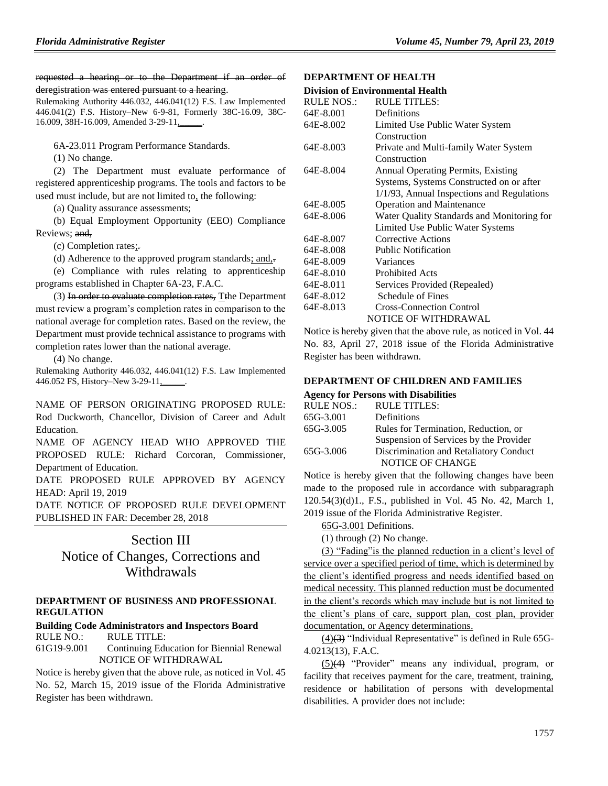requested a hearing or to the Department if an order of deregistration was entered pursuant to a hearing.

Rulemaking Authority 446.032, 446.041(12) F.S. Law Implemented 446.041(2) F.S. History–New 6-9-81, Formerly 38C-16.09, 38C-16.009, 38H-16.009, Amended 3-29-11,

6A-23.011 Program Performance Standards.

(1) No change.

(2) The Department must evaluate performance of registered apprenticeship programs. The tools and factors to be used must include, but are not limited to, the following:

(a) Quality assurance assessments;

(b) Equal Employment Opportunity (EEO) Compliance Reviews; and,

(c) Completion rates;.

(d) Adherence to the approved program standards; and,.

(e) Compliance with rules relating to apprenticeship programs established in Chapter 6A-23, F.A.C.

(3) In order to evaluate completion rates, Tthe Department must review a program's completion rates in comparison to the national average for completion rates. Based on the review, the Department must provide technical assistance to programs with completion rates lower than the national average.

(4) No change.

Rulemaking Authority 446.032, 446.041(12) F.S. Law Implemented 446.052 FS, History–New 3-29-11,\_\_\_\_\_.

NAME OF PERSON ORIGINATING PROPOSED RULE: Rod Duckworth, Chancellor, Division of Career and Adult Education.

NAME OF AGENCY HEAD WHO APPROVED THE PROPOSED RULE: Richard Corcoran, Commissioner, Department of Education.

DATE PROPOSED RULE APPROVED BY AGENCY HEAD: April 19, 2019

DATE NOTICE OF PROPOSED RULE DEVELOPMENT PUBLISHED IN FAR: December 28, 2018

## Section III

## Notice of Changes, Corrections and Withdrawals

#### **[DEPARTMENT OF BUSINESS AND PROFESSIONAL](https://www.flrules.org/gateway/department.asp?id=61)  [REGULATION](https://www.flrules.org/gateway/department.asp?id=61)**

#### **[Building Code Administrators and Inspectors Board](https://www.flrules.org/gateway/organization.asp?id=271)** RULE NO.: RULE TITLE:

[61G19-9.001](https://www.flrules.org/gateway/ruleNo.asp?id=61G19-9.001) Continuing Education for Biennial Renewal NOTICE OF WITHDRAWAL

Notice is hereby given that the above rule, as noticed in Vol. 45 No. 52, March 15, 2019 issue of the Florida Administrative Register has been withdrawn.

#### **[DEPARTMENT OF HEALTH](https://www.flrules.org/gateway/department.asp?id=64)**

#### **[Division of Environmental Health](https://www.flrules.org/gateway/organization.asp?id=335)**

| <b>RULE NOS.:</b> | <b>RULE TITLES:</b>                        |
|-------------------|--------------------------------------------|
| 64E-8.001         | Definitions                                |
| 64E-8.002         | Limited Use Public Water System            |
|                   | Construction                               |
| 64E-8.003         | Private and Multi-family Water System      |
|                   | Construction                               |
| 64E-8.004         | <b>Annual Operating Permits, Existing</b>  |
|                   | Systems, Systems Constructed on or after   |
|                   | 1/1/93, Annual Inspections and Regulations |
| 64E-8.005         | <b>Operation and Maintenance</b>           |
| 64E-8.006         | Water Quality Standards and Monitoring for |
|                   | Limited Use Public Water Systems           |
| 64E-8.007         | Corrective Actions                         |
| 64E-8.008         | <b>Public Notification</b>                 |
| 64E-8.009         | Variances                                  |
| 64E-8.010         | <b>Prohibited Acts</b>                     |
| 64E-8.011         | Services Provided (Repealed)               |
| 64E-8.012         | Schedule of Fines                          |
| 64E-8.013         | <b>Cross-Connection Control</b>            |
|                   | NOTICE OF WITHDRAWAL                       |

Notice is hereby given that the above rule, as noticed in Vol. 44 No. 83, April 27, 2018 issue of the Florida Administrative Register has been withdrawn.

### **[DEPARTMENT OF CHILDREN AND FAMILIES](https://www.flrules.org/gateway/department.asp?id=65)**

#### **[Agency for Persons with Disabilities](https://www.flrules.org/gateway/organization.asp?id=560)**

| <b>RULE NOS.:</b> | <b>RULE TITLES:</b>                    |
|-------------------|----------------------------------------|
| 65G-3.001         | Definitions                            |
| 65G-3.005         | Rules for Termination, Reduction, or   |
|                   | Suspension of Services by the Provider |
| 65G-3.006         | Discrimination and Retaliatory Conduct |
|                   | NOTICE OF CHANGE                       |
|                   |                                        |

Notice is hereby given that the following changes have been made to the proposed rule in accordance with subparagraph 120.54(3)(d)1., F.S., published in Vol. 45 No. 42, March 1, 2019 issue of the Florida Administrative Register.

[65G-3.001](http://www.flrules.com/gateway/ruleNo.asp?id=65G-3.001) Definitions.

(1) through (2) No change.

(3) "Fading"is the planned reduction in a client's level of service over a specified period of time, which is determined by the client's identified progress and needs identified based on medical necessity. This planned reduction must be documented in the client's records which may include but is not limited to the client's plans of care, support plan, cost plan, provider documentation, or Agency determinations.

 $(4)(3)$  "Individual Representative" is defined in Rule 65G-4.0213(13), F.A.C.

(5)(4) "Provider" means any individual, program, or facility that receives payment for the care, treatment, training, residence or habilitation of persons with developmental disabilities. A provider does not include: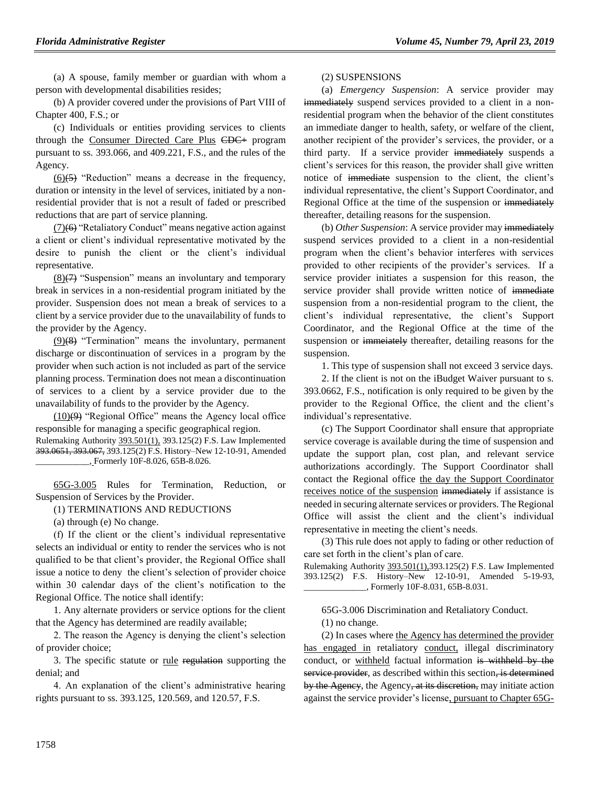(a) A spouse, family member or guardian with whom a person with developmental disabilities resides;

(b) A provider covered under the provisions of Part VIII of Chapter 400, F.S.; or

(c) Individuals or entities providing services to clients through the Consumer Directed Care Plus CDC+ program pursuant to ss. 393.066, and 409.221, F.S., and the rules of the Agency.

 $(6)(\overline{5})$  "Reduction" means a decrease in the frequency, duration or intensity in the level of services, initiated by a nonresidential provider that is not a result of faded or prescribed reductions that are part of service planning.

(7)(6) "Retaliatory Conduct" means negative action against a client or client's individual representative motivated by the desire to punish the client or the client's individual representative.

 $(8)(7)$  "Suspension" means an involuntary and temporary break in services in a non-residential program initiated by the provider. Suspension does not mean a break of services to a client by a service provider due to the unavailability of funds to the provider by the Agency.

(9)(8) "Termination" means the involuntary, permanent discharge or discontinuation of services in a program by the provider when such action is not included as part of the service planning process. Termination does not mean a discontinuation of services to a client by a service provider due to the unavailability of funds to the provider by the Agency.

 $(10)$ (9) "Regional Office" means the Agency local office responsible for managing a specific geographical region. Rulemaking Authority 393.501(1), 393.125(2) F.S. Law Implemented 393.0651, 393.067, 393.125(2) F.S. History–New 12-10-91, Amended \_\_\_\_\_\_\_\_\_\_\_\_, Formerly 10F-8.026, 65B-8.026.

[65G-3.005](http://www.flrules.com/gateway/ruleNo.asp?id=65G-3.005) Rules for Termination, Reduction, Suspension of Services by the Provider.

(1) TERMINATIONS AND REDUCTIONS

(a) through (e) No change.

(f) If the client or the client's individual representative selects an individual or entity to render the services who is not qualified to be that client's provider, the Regional Office shall issue a notice to deny the client's selection of provider choice within 30 calendar days of the client's notification to the Regional Office. The notice shall identify:

1. Any alternate providers or service options for the client that the Agency has determined are readily available;

2. The reason the Agency is denying the client's selection of provider choice;

3. The specific statute or rule regulation supporting the denial; and

4. An explanation of the client's administrative hearing rights pursuant to ss. 393.125, 120.569, and 120.57, F.S.

#### (2) SUSPENSIONS

(a) *Emergency Suspension*: A service provider may immediately suspend services provided to a client in a nonresidential program when the behavior of the client constitutes an immediate danger to health, safety, or welfare of the client, another recipient of the provider's services, the provider, or a third party. If a service provider immediately suspends a client's services for this reason, the provider shall give written notice of immediate suspension to the client, the client's individual representative, the client's Support Coordinator, and Regional Office at the time of the suspension or immediately thereafter, detailing reasons for the suspension.

(b) *Other Suspension*: A service provider may immediately suspend services provided to a client in a non-residential program when the client's behavior interferes with services provided to other recipients of the provider's services. If a service provider initiates a suspension for this reason, the service provider shall provide written notice of immediate suspension from a non-residential program to the client, the client's individual representative, the client's Support Coordinator, and the Regional Office at the time of the suspension or immerately thereafter, detailing reasons for the suspension.

1. This type of suspension shall not exceed 3 service days.

2. If the client is not on the iBudget Waiver pursuant to s. 393.0662, F.S., notification is only required to be given by the provider to the Regional Office, the client and the client's individual's representative.

(c) The Support Coordinator shall ensure that appropriate service coverage is available during the time of suspension and update the support plan, cost plan, and relevant service authorizations accordingly. The Support Coordinator shall contact the Regional office the day the Support Coordinator receives notice of the suspension immediately if assistance is needed in securing alternate services or providers. The Regional Office will assist the client and the client's individual representative in meeting the client's needs.

(3) This rule does not apply to fading or other reduction of care set forth in the client's plan of care.

Rulemaking Authority 393.501(1),393.125(2) F.S. Law Implemented 393.125(2) F.S. History–New 12-10-91, Amended 5-19-93, \_\_\_\_\_\_\_\_\_\_\_\_\_\_, Formerly 10F-8.031, 65B-8.031.

65G-3.006 Discrimination and Retaliatory Conduct.

(1) no change.

(2) In cases where the Agency has determined the provider has engaged in retaliatory conduct, illegal discriminatory conduct, or withheld factual information is withheld by the service provider, as described within this section, is determined by the Agency, the Agency, at its discretion, may initiate action against the service provider's license, pursuant to Chapter 65G-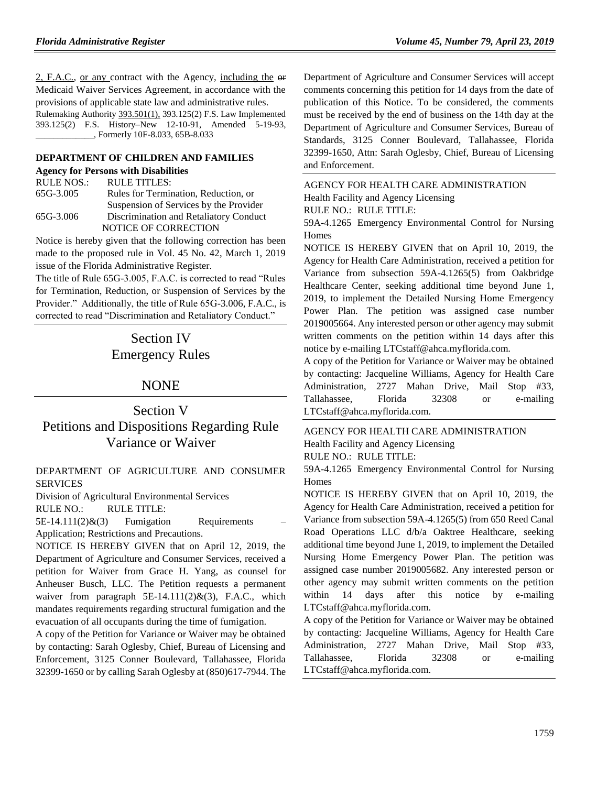2, F.A.C., or any contract with the Agency, including the or Medicaid Waiver Services Agreement, in accordance with the provisions of applicable state law and administrative rules. Rulemaking Authority 393.501(1), 393.125(2) F.S. Law Implemented 393.125(2) F.S. History–New 12-10-91, Amended 5-19-93, \_\_\_\_\_\_\_\_\_\_\_\_\_, Formerly 10F-8.033, 65B-8.033

#### **[DEPARTMENT OF CHILDREN AND FAMILIES](https://www.flrules.org/gateway/department.asp?id=65)**

|  |  |  |  |  | <b>Agency for Persons with Disabilities</b> |
|--|--|--|--|--|---------------------------------------------|
|--|--|--|--|--|---------------------------------------------|

| RULE NOS.: | RULE TITLES:                           |
|------------|----------------------------------------|
| 65G-3.005  | Rules for Termination, Reduction, or   |
|            | Suspension of Services by the Provider |
| 65G-3.006  | Discrimination and Retaliatory Conduct |
|            | <b>NOTICE OF CORRECTION</b>            |

Notice is hereby given that the following correction has been made to the proposed rule in Vol. 45 No. 42, March 1, 2019 issue of the Florida Administrative Register.

The title of Rule 65G-3.005, F.A.C. is corrected to read "Rules for Termination, Reduction, or Suspension of Services by the Provider." Additionally, the title of Rule 65G-3.006, F.A.C., is corrected to read "Discrimination and Retaliatory Conduct."

# Section IV Emergency Rules

## NONE

Section V Petitions and Dispositions Regarding Rule Variance or Waiver

[DEPARTMENT OF AGRICULTURE AND CONSUMER](https://www.flrules.org/gateway/department.asp?id=5)  [SERVICES](https://www.flrules.org/gateway/department.asp?id=5)

[Division of A](https://www.flrules.org/gateway/organization.asp?id=166)gricultural Environmental Services RULE NO.: RULE TITLE:

 $5E-14.111(2)$ & $(3)$  Fumigation Requirements

Application; Restrictions and Precautions.

NOTICE IS HEREBY GIVEN that on April 12, 2019, the Department of Agriculture and Consumer Services, received a petition for Waiver from Grace H. Yang, as counsel for Anheuser Busch, LLC. The Petition requests a permanent waiver from paragraph  $5E-14.111(2)$ &(3), F.A.C., which mandates requirements regarding structural fumigation and the evacuation of all occupants during the time of fumigation.

A copy of the Petition for Variance or Waiver may be obtained by contacting: Sarah Oglesby, Chief, Bureau of Licensing and Enforcement, 3125 Conner Boulevard, Tallahassee, Florida 32399-1650 or by calling Sarah Oglesby at (850)617-7944. The

Department of Agriculture and Consumer Services will accept comments concerning this petition for 14 days from the date of publication of this Notice. To be considered, the comments must be received by the end of business on the 14th day at the Department of Agriculture and Consumer Services, Bureau of Standards, 3125 Conner Boulevard, Tallahassee, Florida 32399-1650, Attn: Sarah Oglesby, Chief, Bureau of Licensing and Enforcement.

[AGENCY FOR HEALTH CARE ADMINISTRATION](https://www.flrules.org/gateway/department.asp?id=59) [Health Facility and Agency Licensing](https://www.flrules.org/gateway/organization.asp?id=186) RULE NO.: RULE TITLE: [59A-4.1265](https://www.flrules.org/gateway/ruleNo.asp?id=59A-4.1265) Emergency Environmental Control for Nursing

Homes NOTICE IS HEREBY GIVEN that on April 10, 2019, the Agency for Health Care Administration, received a petition for Variance from subsection 59A-4.1265(5) from Oakbridge Healthcare Center, seeking additional time beyond June 1, 2019, to implement the Detailed Nursing Home Emergency Power Plan. The petition was assigned case number 2019005664. Any interested person or other agency may submit written comments on the petition within 14 days after this notice by e-mailing LTCstaff@ahca.myflorida.com.

A copy of the Petition for Variance or Waiver may be obtained by contacting: Jacqueline Williams, Agency for Health Care Administration, 2727 Mahan Drive, Mail Stop #33, Tallahassee, Florida 32308 or e-mailing LTCstaff@ahca.myflorida.com.

[AGENCY FOR HEALTH CARE ADMINISTRATION](https://www.flrules.org/gateway/department.asp?id=59) [Health Facility and Agency Licensing](https://www.flrules.org/gateway/organization.asp?id=186) RULE NO.: RULE TITLE:

[59A-4.1265](https://www.flrules.org/gateway/ruleNo.asp?id=59A-4.1265) Emergency Environmental Control for Nursing Homes

NOTICE IS HEREBY GIVEN that on April 10, 2019, the Agency for Health Care Administration, received a petition for Variance from subsection 59A-4.1265(5) from 650 Reed Canal Road Operations LLC d/b/a Oaktree Healthcare, seeking additional time beyond June 1, 2019, to implement the Detailed Nursing Home Emergency Power Plan. The petition was assigned case number 2019005682. Any interested person or other agency may submit written comments on the petition within 14 days after this notice by e-mailing LTCstaff@ahca.myflorida.com.

A copy of the Petition for Variance or Waiver may be obtained by contacting: Jacqueline Williams, Agency for Health Care Administration, 2727 Mahan Drive, Mail Stop #33, Tallahassee, Florida 32308 or e-mailing LTCstaff@ahca.myflorida.com.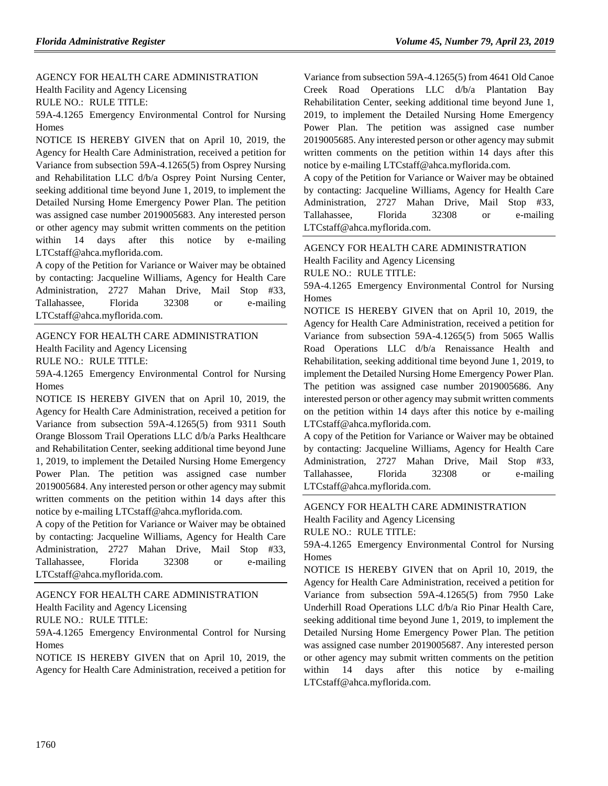[AGENCY FOR HEALTH CARE ADMINISTRATION](https://www.flrules.org/gateway/department.asp?id=59) [Health Facility and Agency Licensing](https://www.flrules.org/gateway/organization.asp?id=186)

RULE NO.: RULE TITLE:

[59A-4.1265](https://www.flrules.org/gateway/ruleNo.asp?id=59A-4.1265) Emergency Environmental Control for Nursing Homes

NOTICE IS HEREBY GIVEN that on April 10, 2019, the Agency for Health Care Administration, received a petition for Variance from subsection 59A-4.1265(5) from Osprey Nursing and Rehabilitation LLC d/b/a Osprey Point Nursing Center, seeking additional time beyond June 1, 2019, to implement the Detailed Nursing Home Emergency Power Plan. The petition was assigned case number 2019005683. Any interested person or other agency may submit written comments on the petition within 14 days after this notice by e-mailing LTCstaff@ahca.myflorida.com.

A copy of the Petition for Variance or Waiver may be obtained by contacting: Jacqueline Williams, Agency for Health Care Administration, 2727 Mahan Drive, Mail Stop #33, Tallahassee, Florida 32308 or e-mailing LTCstaff@ahca.myflorida.com.

#### [AGENCY FOR HEALTH CARE ADMINISTRATION](https://www.flrules.org/gateway/department.asp?id=59)

[Health Facility and Agency Licensing](https://www.flrules.org/gateway/organization.asp?id=186)

RULE NO.: RULE TITLE:

[59A-4.1265](https://www.flrules.org/gateway/ruleNo.asp?id=59A-4.1265) Emergency Environmental Control for Nursing Homes

NOTICE IS HEREBY GIVEN that on April 10, 2019, the Agency for Health Care Administration, received a petition for Variance from subsection 59A-4.1265(5) from 9311 South Orange Blossom Trail Operations LLC d/b/a Parks Healthcare and Rehabilitation Center, seeking additional time beyond June 1, 2019, to implement the Detailed Nursing Home Emergency Power Plan. The petition was assigned case number 2019005684. Any interested person or other agency may submit written comments on the petition within 14 days after this notice by e-mailing LTCstaff@ahca.myflorida.com.

A copy of the Petition for Variance or Waiver may be obtained by contacting: Jacqueline Williams, Agency for Health Care Administration, 2727 Mahan Drive, Mail Stop #33, Tallahassee, Florida 32308 or e-mailing LTCstaff@ahca.myflorida.com.

## [AGENCY FOR HEALTH CARE ADMINISTRATION](https://www.flrules.org/gateway/department.asp?id=59)

[Health Facility and Agency Licensing](https://www.flrules.org/gateway/organization.asp?id=186)

RULE NO.: RULE TITLE:

[59A-4.1265](https://www.flrules.org/gateway/ruleNo.asp?id=59A-4.1265) Emergency Environmental Control for Nursing Homes

NOTICE IS HEREBY GIVEN that on April 10, 2019, the Agency for Health Care Administration, received a petition for Variance from subsection 59A-4.1265(5) from 4641 Old Canoe Creek Road Operations LLC d/b/a Plantation Bay Rehabilitation Center, seeking additional time beyond June 1, 2019, to implement the Detailed Nursing Home Emergency Power Plan. The petition was assigned case number 2019005685. Any interested person or other agency may submit written comments on the petition within 14 days after this notice by e-mailing LTCstaff@ahca.myflorida.com.

A copy of the Petition for Variance or Waiver may be obtained by contacting: Jacqueline Williams, Agency for Health Care Administration, 2727 Mahan Drive, Mail Stop #33, Tallahassee, Florida 32308 or e-mailing LTCstaff@ahca.myflorida.com.

## [AGENCY FOR HEALTH CARE ADMINISTRATION](https://www.flrules.org/gateway/department.asp?id=59) [Health Facility and Agency Licensing](https://www.flrules.org/gateway/organization.asp?id=186)

RULE NO.: RULE TITLE:

[59A-4.1265](https://www.flrules.org/gateway/ruleNo.asp?id=59A-4.1265) Emergency Environmental Control for Nursing Homes

NOTICE IS HEREBY GIVEN that on April 10, 2019, the Agency for Health Care Administration, received a petition for Variance from subsection 59A-4.1265(5) from 5065 Wallis Road Operations LLC d/b/a Renaissance Health and Rehabilitation, seeking additional time beyond June 1, 2019, to implement the Detailed Nursing Home Emergency Power Plan. The petition was assigned case number 2019005686. Any interested person or other agency may submit written comments on the petition within 14 days after this notice by e-mailing LTCstaff@ahca.myflorida.com.

A copy of the Petition for Variance or Waiver may be obtained by contacting: Jacqueline Williams, Agency for Health Care Administration, 2727 Mahan Drive, Mail Stop #33, Tallahassee, Florida 32308 or e-mailing LTCstaff@ahca.myflorida.com.

#### [AGENCY FOR HEALTH CARE ADMINISTRATION](https://www.flrules.org/gateway/department.asp?id=59) [Health Facility and Agency Licensing](https://www.flrules.org/gateway/organization.asp?id=186)

RULE NO.: RULE TITLE:

[59A-4.1265](https://www.flrules.org/gateway/ruleNo.asp?id=59A-4.1265) Emergency Environmental Control for Nursing Homes

NOTICE IS HEREBY GIVEN that on April 10, 2019, the Agency for Health Care Administration, received a petition for Variance from subsection 59A-4.1265(5) from 7950 Lake Underhill Road Operations LLC d/b/a Rio Pinar Health Care, seeking additional time beyond June 1, 2019, to implement the Detailed Nursing Home Emergency Power Plan. The petition was assigned case number 2019005687. Any interested person or other agency may submit written comments on the petition within 14 days after this notice by e-mailing LTCstaff@ahca.myflorida.com.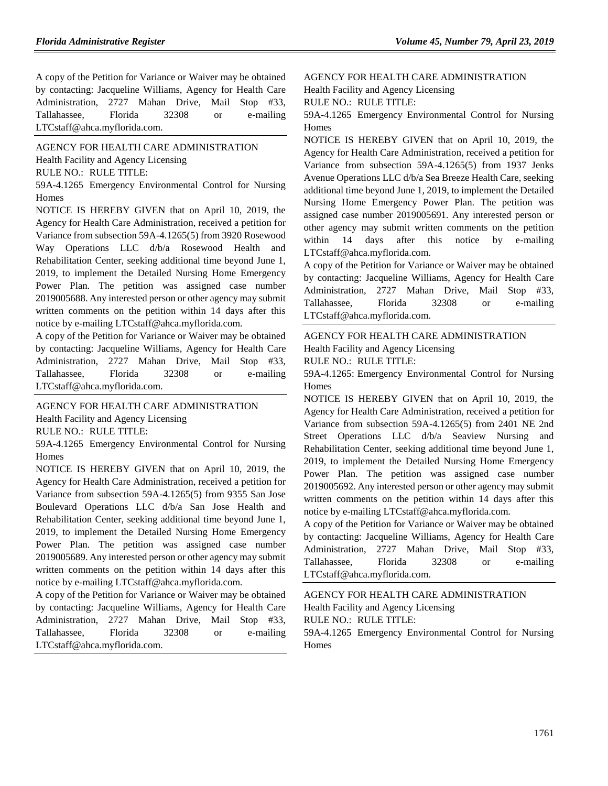A copy of the Petition for Variance or Waiver may be obtained by contacting: Jacqueline Williams, Agency for Health Care Administration, 2727 Mahan Drive, Mail Stop #33, Tallahassee, Florida 32308 or e-mailing LTCstaff@ahca.myflorida.com.

[AGENCY FOR HEALTH CARE ADMINISTRATION](https://www.flrules.org/gateway/department.asp?id=59) [Health Facility and Agency Licensing](https://www.flrules.org/gateway/organization.asp?id=186) RULE NO.: RULE TITLE:

[59A-4.1265](https://www.flrules.org/gateway/ruleNo.asp?id=59A-4.1265) Emergency Environmental Control for Nursing Homes

NOTICE IS HEREBY GIVEN that on April 10, 2019, the Agency for Health Care Administration, received a petition for Variance from subsection 59A-4.1265(5) from 3920 Rosewood Way Operations LLC d/b/a Rosewood Health and Rehabilitation Center, seeking additional time beyond June 1, 2019, to implement the Detailed Nursing Home Emergency Power Plan. The petition was assigned case number 2019005688. Any interested person or other agency may submit written comments on the petition within 14 days after this notice by e-mailing LTCstaff@ahca.myflorida.com.

A copy of the Petition for Variance or Waiver may be obtained by contacting: Jacqueline Williams, Agency for Health Care Administration, 2727 Mahan Drive, Mail Stop #33, Tallahassee, Florida 32308 or e-mailing LTCstaff@ahca.myflorida.com.

#### [AGENCY FOR HEALTH CARE ADMINISTRATION](https://www.flrules.org/gateway/department.asp?id=59)

[Health Facility and Agency Licensing](https://www.flrules.org/gateway/organization.asp?id=186)

RULE NO.: RULE TITLE:

[59A-4.1265](https://www.flrules.org/gateway/ruleNo.asp?id=59A-4.1265) Emergency Environmental Control for Nursing Homes

NOTICE IS HEREBY GIVEN that on April 10, 2019, the Agency for Health Care Administration, received a petition for Variance from subsection 59A-4.1265(5) from 9355 San Jose Boulevard Operations LLC d/b/a San Jose Health and Rehabilitation Center, seeking additional time beyond June 1, 2019, to implement the Detailed Nursing Home Emergency Power Plan. The petition was assigned case number 2019005689. Any interested person or other agency may submit written comments on the petition within 14 days after this notice by e-mailing LTCstaff@ahca.myflorida.com.

A copy of the Petition for Variance or Waiver may be obtained by contacting: Jacqueline Williams, Agency for Health Care Administration, 2727 Mahan Drive, Mail Stop #33, Tallahassee, Florida 32308 or e-mailing LTCstaff@ahca.myflorida.com.

### [AGENCY FOR HEALTH CARE ADMINISTRATION](https://www.flrules.org/gateway/department.asp?id=59) [Health Facility and Agency Licensing](https://www.flrules.org/gateway/organization.asp?id=186) RULE NO.: RULE TITLE:

[59A-4.1265](https://www.flrules.org/gateway/ruleNo.asp?id=59A-4.1265) Emergency Environmental Control for Nursing Homes

NOTICE IS HEREBY GIVEN that on April 10, 2019, the Agency for Health Care Administration, received a petition for Variance from subsection 59A-4.1265(5) from 1937 Jenks Avenue Operations LLC d/b/a Sea Breeze Health Care, seeking additional time beyond June 1, 2019, to implement the Detailed Nursing Home Emergency Power Plan. The petition was assigned case number 2019005691. Any interested person or other agency may submit written comments on the petition within 14 days after this notice by e-mailing LTCstaff@ahca.myflorida.com.

A copy of the Petition for Variance or Waiver may be obtained by contacting: Jacqueline Williams, Agency for Health Care Administration, 2727 Mahan Drive, Mail Stop #33, Tallahassee, Florida 32308 or e-mailing LTCstaff@ahca.myflorida.com.

#### [AGENCY FOR HEALTH CARE ADMINISTRATION](https://www.flrules.org/gateway/department.asp?id=59) [Health Facility and Agency Licensing](https://www.flrules.org/gateway/organization.asp?id=186)

RULE NO.: RULE TITLE:

[59A-4.1265:](https://www.flrules.org/gateway/ruleNo.asp?id=59A-4.1265) Emergency Environmental Control for Nursing Homes

NOTICE IS HEREBY GIVEN that on April 10, 2019, the Agency for Health Care Administration, received a petition for Variance from subsection 59A-4.1265(5) from 2401 NE 2nd Street Operations LLC d/b/a Seaview Nursing and Rehabilitation Center, seeking additional time beyond June 1, 2019, to implement the Detailed Nursing Home Emergency Power Plan. The petition was assigned case number 2019005692. Any interested person or other agency may submit written comments on the petition within 14 days after this notice by e-mailing LTCstaff@ahca.myflorida.com.

A copy of the Petition for Variance or Waiver may be obtained by contacting: Jacqueline Williams, Agency for Health Care Administration, 2727 Mahan Drive, Mail Stop #33, Tallahassee, Florida 32308 or e-mailing LTCstaff@ahca.myflorida.com.

[AGENCY FOR HEALTH CARE ADMINISTRATION](https://www.flrules.org/gateway/department.asp?id=59) [Health Facility and Agency Licensing](https://www.flrules.org/gateway/organization.asp?id=186) RULE NO.: RULE TITLE: [59A-4.1265](https://www.flrules.org/gateway/ruleNo.asp?id=59A-4.1265) Emergency Environmental Control for Nursing Homes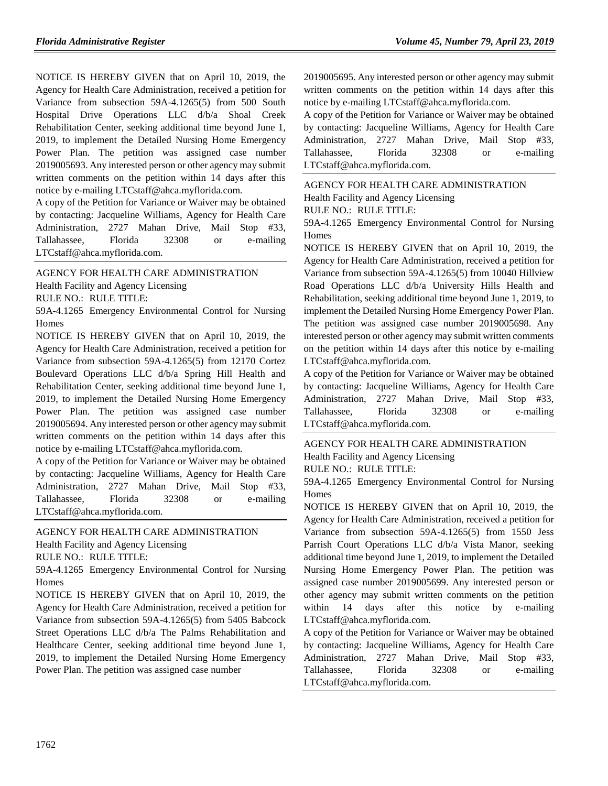NOTICE IS HEREBY GIVEN that on April 10, 2019, the Agency for Health Care Administration, received a petition for Variance from subsection 59A-4.1265(5) from 500 South Hospital Drive Operations LLC d/b/a Shoal Creek Rehabilitation Center, seeking additional time beyond June 1, 2019, to implement the Detailed Nursing Home Emergency Power Plan. The petition was assigned case number 2019005693. Any interested person or other agency may submit written comments on the petition within 14 days after this notice by e-mailing LTCstaff@ahca.myflorida.com.

A copy of the Petition for Variance or Waiver may be obtained by contacting: Jacqueline Williams, Agency for Health Care Administration, 2727 Mahan Drive, Mail Stop #33, Tallahassee, Florida 32308 or e-mailing LTCstaff@ahca.myflorida.com.

## [AGENCY FOR HEALTH CARE ADMINISTRATION](https://www.flrules.org/gateway/department.asp?id=59)

[Health Facility and Agency Licensing](https://www.flrules.org/gateway/organization.asp?id=186)

RULE NO.: RULE TITLE:

[59A-4.1265](https://www.flrules.org/gateway/ruleNo.asp?id=59A-4.1265) Emergency Environmental Control for Nursing Homes

NOTICE IS HEREBY GIVEN that on April 10, 2019, the Agency for Health Care Administration, received a petition for Variance from subsection 59A-4.1265(5) from 12170 Cortez Boulevard Operations LLC d/b/a Spring Hill Health and Rehabilitation Center, seeking additional time beyond June 1, 2019, to implement the Detailed Nursing Home Emergency Power Plan. The petition was assigned case number 2019005694. Any interested person or other agency may submit written comments on the petition within 14 days after this notice by e-mailing LTCstaff@ahca.myflorida.com.

A copy of the Petition for Variance or Waiver may be obtained by contacting: Jacqueline Williams, Agency for Health Care Administration, 2727 Mahan Drive, Mail Stop #33, Tallahassee, Florida 32308 or e-mailing LTCstaff@ahca.myflorida.com.

#### [AGENCY FOR HEALTH CARE ADMINISTRATION](https://www.flrules.org/gateway/department.asp?id=59)

[Health Facility and Agency Licensing](https://www.flrules.org/gateway/organization.asp?id=186)

RULE NO.: RULE TITLE:

[59A-4.1265](https://www.flrules.org/gateway/ruleNo.asp?id=59A-4.1265) Emergency Environmental Control for Nursing **Homes** 

NOTICE IS HEREBY GIVEN that on April 10, 2019, the Agency for Health Care Administration, received a petition for Variance from subsection 59A-4.1265(5) from 5405 Babcock Street Operations LLC d/b/a The Palms Rehabilitation and Healthcare Center, seeking additional time beyond June 1, 2019, to implement the Detailed Nursing Home Emergency Power Plan. The petition was assigned case number

2019005695. Any interested person or other agency may submit written comments on the petition within 14 days after this notice by e-mailing LTCstaff@ahca.myflorida.com.

A copy of the Petition for Variance or Waiver may be obtained by contacting: Jacqueline Williams, Agency for Health Care Administration, 2727 Mahan Drive, Mail Stop #33, Tallahassee, Florida 32308 or e-mailing LTCstaff@ahca.myflorida.com.

[AGENCY FOR HEALTH CARE ADMINISTRATION](https://www.flrules.org/gateway/department.asp?id=59)

[Health Facility and Agency Licensing](https://www.flrules.org/gateway/organization.asp?id=186)

RULE NO.: RULE TITLE:

[59A-4.1265](https://www.flrules.org/gateway/ruleNo.asp?id=59A-4.1265) Emergency Environmental Control for Nursing Homes

NOTICE IS HEREBY GIVEN that on April 10, 2019, the Agency for Health Care Administration, received a petition for Variance from subsection 59A-4.1265(5) from 10040 Hillview Road Operations LLC d/b/a University Hills Health and Rehabilitation, seeking additional time beyond June 1, 2019, to implement the Detailed Nursing Home Emergency Power Plan. The petition was assigned case number 2019005698. Any interested person or other agency may submit written comments on the petition within 14 days after this notice by e-mailing LTCstaff@ahca.myflorida.com.

A copy of the Petition for Variance or Waiver may be obtained by contacting: Jacqueline Williams, Agency for Health Care Administration, 2727 Mahan Drive, Mail Stop #33, Tallahassee, Florida 32308 or e-mailing LTCstaff@ahca.myflorida.com.

## [AGENCY FOR HEALTH CARE ADMINISTRATION](https://www.flrules.org/gateway/department.asp?id=59) [Health Facility and Agency Licensing](https://www.flrules.org/gateway/organization.asp?id=186)

RULE NO.: RULE TITLE:

[59A-4.1265](https://www.flrules.org/gateway/ruleNo.asp?id=59A-4.1265) Emergency Environmental Control for Nursing **Homes** 

NOTICE IS HEREBY GIVEN that on April 10, 2019, the Agency for Health Care Administration, received a petition for Variance from subsection 59A-4.1265(5) from 1550 Jess Parrish Court Operations LLC d/b/a Vista Manor, seeking additional time beyond June 1, 2019, to implement the Detailed Nursing Home Emergency Power Plan. The petition was assigned case number 2019005699. Any interested person or other agency may submit written comments on the petition within 14 days after this notice by e-mailing LTCstaff@ahca.myflorida.com.

A copy of the Petition for Variance or Waiver may be obtained by contacting: Jacqueline Williams, Agency for Health Care Administration, 2727 Mahan Drive, Mail Stop #33, Tallahassee, Florida 32308 or e-mailing LTCstaff@ahca.myflorida.com.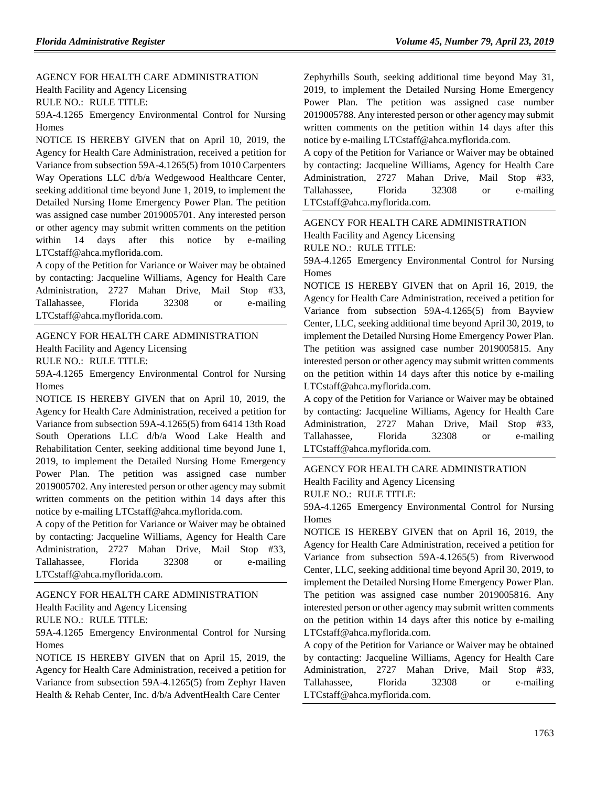[AGENCY FOR HEALTH CARE ADMINISTRATION](https://www.flrules.org/gateway/department.asp?id=59) [Health Facility and Agency Licensing](https://www.flrules.org/gateway/organization.asp?id=186)

RULE NO.: RULE TITLE:

[59A-4.1265](https://www.flrules.org/gateway/ruleNo.asp?id=59A-4.1265) Emergency Environmental Control for Nursing Homes

NOTICE IS HEREBY GIVEN that on April 10, 2019, the Agency for Health Care Administration, received a petition for Variance from subsection 59A-4.1265(5) from 1010 Carpenters Way Operations LLC d/b/a Wedgewood Healthcare Center, seeking additional time beyond June 1, 2019, to implement the Detailed Nursing Home Emergency Power Plan. The petition was assigned case number 2019005701. Any interested person or other agency may submit written comments on the petition within 14 days after this notice by e-mailing LTCstaff@ahca.myflorida.com.

A copy of the Petition for Variance or Waiver may be obtained by contacting: Jacqueline Williams, Agency for Health Care Administration, 2727 Mahan Drive, Mail Stop #33, Tallahassee, Florida 32308 or e-mailing LTCstaff@ahca.myflorida.com.

#### [AGENCY FOR HEALTH CARE ADMINISTRATION](https://www.flrules.org/gateway/department.asp?id=59)

[Health Facility and Agency Licensing](https://www.flrules.org/gateway/organization.asp?id=186)

RULE NO.: RULE TITLE:

[59A-4.1265](https://www.flrules.org/gateway/ruleNo.asp?id=59A-4.1265) Emergency Environmental Control for Nursing Homes

NOTICE IS HEREBY GIVEN that on April 10, 2019, the Agency for Health Care Administration, received a petition for Variance from subsection 59A-4.1265(5) from 6414 13th Road South Operations LLC d/b/a Wood Lake Health and Rehabilitation Center, seeking additional time beyond June 1, 2019, to implement the Detailed Nursing Home Emergency Power Plan. The petition was assigned case number 2019005702. Any interested person or other agency may submit written comments on the petition within 14 days after this notice by e-mailing LTCstaff@ahca.myflorida.com.

A copy of the Petition for Variance or Waiver may be obtained by contacting: Jacqueline Williams, Agency for Health Care Administration, 2727 Mahan Drive, Mail Stop #33, Tallahassee, Florida 32308 or e-mailing LTCstaff@ahca.myflorida.com.

[AGENCY FOR HEALTH CARE ADMINISTRATION](https://www.flrules.org/gateway/department.asp?id=59) [Health Facility and Agency Licensing](https://www.flrules.org/gateway/organization.asp?id=186)

RULE NO.: RULE TITLE:

[59A-4.1265](https://www.flrules.org/gateway/ruleNo.asp?id=59A-4.1265) Emergency Environmental Control for Nursing Homes

NOTICE IS HEREBY GIVEN that on April 15, 2019, the Agency for Health Care Administration, received a petition for Variance from subsection 59A-4.1265(5) from Zephyr Haven Health & Rehab Center, Inc. d/b/a AdventHealth Care Center

Zephyrhills South, seeking additional time beyond May 31, 2019, to implement the Detailed Nursing Home Emergency Power Plan. The petition was assigned case number 2019005788. Any interested person or other agency may submit written comments on the petition within 14 days after this notice by e-mailing LTCstaff@ahca.myflorida.com.

A copy of the Petition for Variance or Waiver may be obtained by contacting: Jacqueline Williams, Agency for Health Care Administration, 2727 Mahan Drive, Mail Stop #33, Tallahassee, Florida 32308 or e-mailing LTCstaff@ahca.myflorida.com.

#### [AGENCY FOR HEALTH CARE ADMINISTRATION](https://www.flrules.org/gateway/department.asp?id=59)

[Health Facility and Agency Licensing](https://www.flrules.org/gateway/organization.asp?id=186)

RULE NO.: RULE TITLE:

[59A-4.1265](https://www.flrules.org/gateway/ruleNo.asp?id=59A-4.1265) Emergency Environmental Control for Nursing **Homes** 

NOTICE IS HEREBY GIVEN that on April 16, 2019, the Agency for Health Care Administration, received a petition for Variance from subsection 59A-4.1265(5) from Bayview Center, LLC, seeking additional time beyond April 30, 2019, to implement the Detailed Nursing Home Emergency Power Plan. The petition was assigned case number 2019005815. Any interested person or other agency may submit written comments on the petition within 14 days after this notice by e-mailing LTCstaff@ahca.myflorida.com.

A copy of the Petition for Variance or Waiver may be obtained by contacting: Jacqueline Williams, Agency for Health Care Administration, 2727 Mahan Drive, Mail Stop #33, Tallahassee, Florida 32308 or e-mailing LTCstaff@ahca.myflorida.com.

#### [AGENCY FOR HEALTH CARE ADMINISTRATION](https://www.flrules.org/gateway/department.asp?id=59)

[Health Facility and Agency Licensing](https://www.flrules.org/gateway/organization.asp?id=186)

RULE NO.: RULE TITLE:

[59A-4.1265](https://www.flrules.org/gateway/ruleNo.asp?id=59A-4.1265) Emergency Environmental Control for Nursing Homes

NOTICE IS HEREBY GIVEN that on April 16, 2019, the Agency for Health Care Administration, received a petition for Variance from subsection 59A-4.1265(5) from Riverwood Center, LLC, seeking additional time beyond April 30, 2019, to implement the Detailed Nursing Home Emergency Power Plan. The petition was assigned case number 2019005816. Any interested person or other agency may submit written comments on the petition within 14 days after this notice by e-mailing LTCstaff@ahca.myflorida.com.

A copy of the Petition for Variance or Waiver may be obtained by contacting: Jacqueline Williams, Agency for Health Care Administration, 2727 Mahan Drive, Mail Stop #33, Tallahassee, Florida 32308 or e-mailing LTCstaff@ahca.myflorida.com.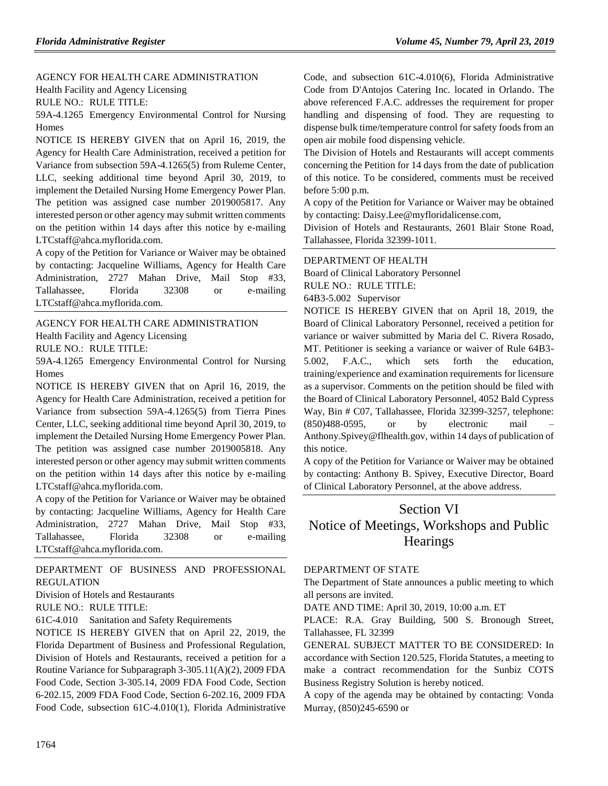[AGENCY FOR HEALTH CARE ADMINISTRATION](https://www.flrules.org/gateway/department.asp?id=59) [Health Facility and Agency Licensing](https://www.flrules.org/gateway/organization.asp?id=186)

RULE NO.: RULE TITLE:

[59A-4.1265](https://www.flrules.org/gateway/ruleNo.asp?id=59A-4.1265) Emergency Environmental Control for Nursing Homes

NOTICE IS HEREBY GIVEN that on April 16, 2019, the Agency for Health Care Administration, received a petition for Variance from subsection 59A-4.1265(5) from Ruleme Center, LLC, seeking additional time beyond April 30, 2019, to implement the Detailed Nursing Home Emergency Power Plan. The petition was assigned case number 2019005817. Any interested person or other agency may submit written comments on the petition within 14 days after this notice by e-mailing LTCstaff@ahca.myflorida.com.

A copy of the Petition for Variance or Waiver may be obtained by contacting: Jacqueline Williams, Agency for Health Care Administration, 2727 Mahan Drive, Mail Stop #33, Tallahassee, Florida 32308 or e-mailing LTCstaff@ahca.myflorida.com.

[AGENCY FOR HEALTH CARE ADMINISTRATION](https://www.flrules.org/gateway/department.asp?id=59) [Health Facility and Agency Licensing](https://www.flrules.org/gateway/organization.asp?id=186)

RULE NO.: RULE TITLE:

[59A-4.1265](https://www.flrules.org/gateway/ruleNo.asp?id=59A-4.1265) Emergency Environmental Control for Nursing **Homes** 

NOTICE IS HEREBY GIVEN that on April 16, 2019, the Agency for Health Care Administration, received a petition for Variance from subsection 59A-4.1265(5) from Tierra Pines Center, LLC, seeking additional time beyond April 30, 2019, to implement the Detailed Nursing Home Emergency Power Plan. The petition was assigned case number 2019005818. Any interested person or other agency may submit written comments on the petition within 14 days after this notice by e-mailing LTCstaff@ahca.myflorida.com.

A copy of the Petition for Variance or Waiver may be obtained by contacting: Jacqueline Williams, Agency for Health Care Administration, 2727 Mahan Drive, Mail Stop #33, Tallahassee, Florida 32308 or e-mailing LTCstaff@ahca.myflorida.com.

[DEPARTMENT OF BUSINESS AND PROFESSIONAL](https://www.flrules.org/gateway/department.asp?id=61)  [REGULATION](https://www.flrules.org/gateway/department.asp?id=61)

[Division of Hotels and Restaurants](https://www.flrules.org/gateway/organization.asp?id=249)

RULE NO.: RULE TITLE:

[61C-4.010](https://www.flrules.org/gateway/ruleNo.asp?id=61C-4.010) Sanitation and Safety Requirements

NOTICE IS HEREBY GIVEN that on April 22, 2019, the Florida Department of Business and Professional Regulation, Division of Hotels and Restaurants, received a petition for a Routine Variance for Subparagraph 3-305.11(A)(2), 2009 FDA Food Code, Section 3-305.14, 2009 FDA Food Code, Section 6-202.15, 2009 FDA Food Code, Section 6-202.16, 2009 FDA Food Code, subsection 61C-4.010(1), Florida Administrative Code, and subsection 61C-4.010(6), Florida Administrative Code from D'Antojos Catering Inc. located in Orlando. The above referenced F.A.C. addresses the requirement for proper handling and dispensing of food. They are requesting to dispense bulk time/temperature control for safety foods from an open air mobile food dispensing vehicle.

The Division of Hotels and Restaurants will accept comments concerning the Petition for 14 days from the date of publication of this notice. To be considered, comments must be received before 5:00 p.m.

A copy of the Petition for Variance or Waiver may be obtained by contacting: Daisy.Lee@myfloridalicense.com,

Division of Hotels and Restaurants, 2601 Blair Stone Road, Tallahassee, Florida 32399-1011.

#### [DEPARTMENT OF HEALTH](https://www.flrules.org/gateway/department.asp?id=64)

[Board of Clinical Laboratory Personnel](https://www.flrules.org/gateway/organization.asp?id=322)

RULE NO.: RULE TITLE:

[64B3-5.002](https://www.flrules.org/gateway/ruleNo.asp?id=64B3-5.002) Supervisor

NOTICE IS HEREBY GIVEN that on April 18, 2019, the Board of Clinical Laboratory Personnel, received a petition for variance or waiver submitted by Maria del C. Rivera Rosado, MT. Petitioner is seeking a variance or waiver of Rule 64B3- 5.002, F.A.C., which sets forth the education, training/experience and examination requirements for licensure as a supervisor. Comments on the petition should be filed with the Board of Clinical Laboratory Personnel, 4052 Bald Cypress Way, Bin # C07, Tallahassee, Florida 32399-3257, telephone:  $(850)488-0595$ , or by electronic mail Anthony.Spivey@flhealth.gov, within 14 days of publication of this notice.

A copy of the Petition for Variance or Waiver may be obtained by contacting: Anthony B. Spivey, Executive Director, Board of Clinical Laboratory Personnel, at the above address.

# Section VI Notice of Meetings, Workshops and Public **Hearings**

#### [DEPARTMENT OF STATE](https://www.flrules.org/gateway/department.asp?id=1)

The Department of State announces a public meeting to which all persons are invited.

DATE AND TIME: April 30, 2019, 10:00 a.m. ET

PLACE: R.A. Gray Building, 500 S. Bronough Street, Tallahassee, FL 32399

GENERAL SUBJECT MATTER TO BE CONSIDERED: In accordance with Section 120.525, Florida Statutes, a meeting to make a contract recommendation for the Sunbiz COTS Business Registry Solution is hereby noticed.

A copy of the agenda may be obtained by contacting: Vonda Murray, (850)245-6590 or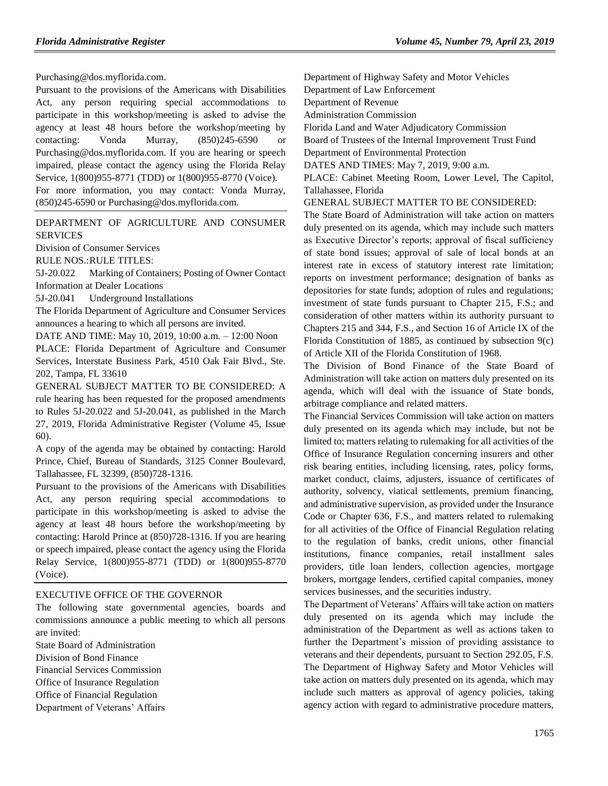Purchasing@dos.myflorida.com.

Pursuant to the provisions of the Americans with Disabilities Act, any person requiring special accommodations to participate in this workshop/meeting is asked to advise the agency at least 48 hours before the workshop/meeting by contacting: Vonda Murray, (850)245-6590 or Purchasing@dos.myflorida.com. If you are hearing or speech impaired, please contact the agency using the Florida Relay Service, 1(800)955-8771 (TDD) or 1(800)955-8770 (Voice). For more information, you may contact: Vonda Murray, (850)245-6590 or Purchasing@dos.myflorida.com.

[DEPARTMENT OF AGRICULTURE AND CONSUMER](https://www.flrules.org/gateway/department.asp?id=5)  [SERVICES](https://www.flrules.org/gateway/department.asp?id=5)

[Division of Consumer Services](https://www.flrules.org/gateway/organization.asp?id=170)

RULE NOS.:RULE TITLES:

[5J-20.022](https://www.flrules.org/gateway/ruleNo.asp?id=5J-20.022) Marking of Containers; Posting of Owner Contact Information at Dealer Locations

[5J-20.041](https://www.flrules.org/gateway/ruleNo.asp?id=5J-20.041) Underground Installations

The Florida Department of Agriculture and Consumer Services announces a hearing to which all persons are invited.

DATE AND TIME: May 10, 2019, 10:00 a.m. – 12:00 Noon

PLACE: Florida Department of Agriculture and Consumer Services, Interstate Business Park, 4510 Oak Fair Blvd., Ste. 202, Tampa, FL 33610

GENERAL SUBJECT MATTER TO BE CONSIDERED: A rule hearing has been requested for the proposed amendments to Rules 5J-20.022 and 5J-20.041, as published in the March 27, 2019, Florida Administrative Register (Volume 45, Issue 60).

A copy of the agenda may be obtained by contacting: Harold Prince, Chief, Bureau of Standards, 3125 Conner Boulevard, Tallahassee, FL 32399, (850)728-1316.

Pursuant to the provisions of the Americans with Disabilities Act, any person requiring special accommodations to participate in this workshop/meeting is asked to advise the agency at least 48 hours before the workshop/meeting by contacting: Harold Prince at (850)728-1316. If you are hearing or speech impaired, please contact the agency using the Florida Relay Service, 1(800)955-8771 (TDD) or 1(800)955-8770 (Voice).

#### [EXECUTIVE OFFICE OF THE GOVERNOR](https://www.flrules.org/gateway/department.asp?id=27)

The following state governmental agencies, boards and commissions announce a public meeting to which all persons are invited:

State Board of Administration Division of Bond Finance Financial Services Commission Office of Insurance Regulation Office of Financial Regulation Department of Veterans' Affairs Department of Highway Safety and Motor Vehicles

Department of Law Enforcement

Department of Revenue

Administration Commission

Florida Land and Water Adjudicatory Commission

Board of Trustees of the Internal Improvement Trust Fund

Department of Environmental Protection

DATES AND TIMES: May 7, 2019, 9:00 a.m.

PLACE: Cabinet Meeting Room, Lower Level, The Capitol, Tallahassee, Florida

GENERAL SUBJECT MATTER TO BE CONSIDERED:

The State Board of Administration will take action on matters duly presented on its agenda, which may include such matters as Executive Director's reports; approval of fiscal sufficiency of state bond issues; approval of sale of local bonds at an interest rate in excess of statutory interest rate limitation; reports on investment performance; designation of banks as depositories for state funds; adoption of rules and regulations; investment of state funds pursuant to Chapter 215, F.S.; and consideration of other matters within its authority pursuant to Chapters 215 and 344, F.S., and Section 16 of Article IX of the Florida Constitution of 1885, as continued by subsection 9(c) of Article XII of the Florida Constitution of 1968.

The Division of Bond Finance of the State Board of Administration will take action on matters duly presented on its agenda, which will deal with the issuance of State bonds, arbitrage compliance and related matters.

The Financial Services Commission will take action on matters duly presented on its agenda which may include, but not be limited to; matters relating to rulemaking for all activities of the Office of Insurance Regulation concerning insurers and other risk bearing entities, including licensing, rates, policy forms, market conduct, claims, adjusters, issuance of certificates of authority, solvency, viatical settlements, premium financing, and administrative supervision, as provided under the Insurance Code or Chapter 636, F.S., and matters related to rulemaking for all activities of the Office of Financial Regulation relating to the regulation of banks, credit unions, other financial institutions, finance companies, retail installment sales providers, title loan lenders, collection agencies, mortgage brokers, mortgage lenders, certified capital companies, money services businesses, and the securities industry.

The Department of Veterans' Affairs will take action on matters duly presented on its agenda which may include the administration of the Department as well as actions taken to further the Department's mission of providing assistance to veterans and their dependents, pursuant to Section 292.05, F.S. The Department of Highway Safety and Motor Vehicles will take action on matters duly presented on its agenda, which may include such matters as approval of agency policies, taking agency action with regard to administrative procedure matters,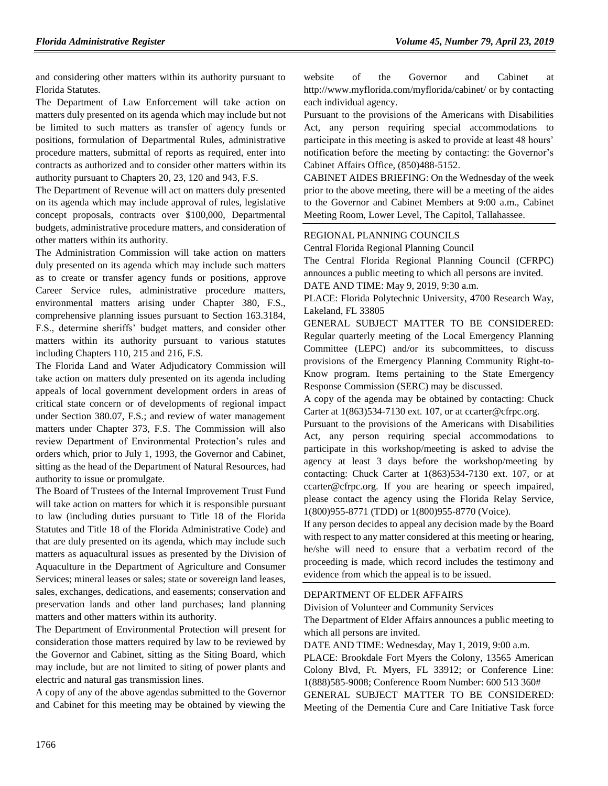and considering other matters within its authority pursuant to Florida Statutes.

The Department of Law Enforcement will take action on matters duly presented on its agenda which may include but not be limited to such matters as transfer of agency funds or positions, formulation of Departmental Rules, administrative procedure matters, submittal of reports as required, enter into contracts as authorized and to consider other matters within its authority pursuant to Chapters 20, 23, 120 and 943, F.S.

The Department of Revenue will act on matters duly presented on its agenda which may include approval of rules, legislative concept proposals, contracts over \$100,000, Departmental budgets, administrative procedure matters, and consideration of other matters within its authority.

The Administration Commission will take action on matters duly presented on its agenda which may include such matters as to create or transfer agency funds or positions, approve Career Service rules, administrative procedure matters, environmental matters arising under Chapter 380, F.S., comprehensive planning issues pursuant to Section 163.3184, F.S., determine sheriffs' budget matters, and consider other matters within its authority pursuant to various statutes including Chapters 110, 215 and 216, F.S.

The Florida Land and Water Adjudicatory Commission will take action on matters duly presented on its agenda including appeals of local government development orders in areas of critical state concern or of developments of regional impact under Section 380.07, F.S.; and review of water management matters under Chapter 373, F.S. The Commission will also review Department of Environmental Protection's rules and orders which, prior to July 1, 1993, the Governor and Cabinet, sitting as the head of the Department of Natural Resources, had authority to issue or promulgate.

The Board of Trustees of the Internal Improvement Trust Fund will take action on matters for which it is responsible pursuant to law (including duties pursuant to Title 18 of the Florida Statutes and Title 18 of the Florida Administrative Code) and that are duly presented on its agenda, which may include such matters as aquacultural issues as presented by the Division of Aquaculture in the Department of Agriculture and Consumer Services; mineral leases or sales; state or sovereign land leases, sales, exchanges, dedications, and easements; conservation and preservation lands and other land purchases; land planning matters and other matters within its authority.

The Department of Environmental Protection will present for consideration those matters required by law to be reviewed by the Governor and Cabinet, sitting as the Siting Board, which may include, but are not limited to siting of power plants and electric and natural gas transmission lines.

A copy of any of the above agendas submitted to the Governor and Cabinet for this meeting may be obtained by viewing the

website of the Governor and Cabinet at http://www.myflorida.com/myflorida/cabinet/ or by contacting each individual agency.

Pursuant to the provisions of the Americans with Disabilities Act, any person requiring special accommodations to participate in this meeting is asked to provide at least 48 hours' notification before the meeting by contacting: the Governor's Cabinet Affairs Office, (850)488-5152.

CABINET AIDES BRIEFING: On the Wednesday of the week prior to the above meeting, there will be a meeting of the aides to the Governor and Cabinet Members at 9:00 a.m., Cabinet Meeting Room, Lower Level, The Capitol, Tallahassee.

#### [REGIONAL PLANNING COUNCILS](https://www.flrules.org/gateway/department.asp?id=29)

[Central Florida Regional Planning Council](https://www.flrules.org/gateway/organization.asp?id=63)

The Central Florida Regional Planning Council (CFRPC) announces a public meeting to which all persons are invited.

DATE AND TIME: May 9, 2019, 9:30 a.m.

PLACE: Florida Polytechnic University, 4700 Research Way, Lakeland, FL 33805

GENERAL SUBJECT MATTER TO BE CONSIDERED: Regular quarterly meeting of the Local Emergency Planning Committee (LEPC) and/or its subcommittees, to discuss provisions of the Emergency Planning Community Right-to-Know program. Items pertaining to the State Emergency Response Commission (SERC) may be discussed.

A copy of the agenda may be obtained by contacting: Chuck Carter at 1(863)534-7130 ext. 107, or at ccarter@cfrpc.org.

Pursuant to the provisions of the Americans with Disabilities Act, any person requiring special accommodations to participate in this workshop/meeting is asked to advise the agency at least 3 days before the workshop/meeting by contacting: Chuck Carter at 1(863)534-7130 ext. 107, or at ccarter@cfrpc.org. If you are hearing or speech impaired, please contact the agency using the Florida Relay Service, 1(800)955-8771 (TDD) or 1(800)955-8770 (Voice).

If any person decides to appeal any decision made by the Board with respect to any matter considered at this meeting or hearing, he/she will need to ensure that a verbatim record of the proceeding is made, which record includes the testimony and evidence from which the appeal is to be issued.

#### [DEPARTMENT OF ELDER AFFAIRS](https://www.flrules.org/gateway/department.asp?id=58)

[Division of Volunteer and Community Services](https://www.flrules.org/gateway/organization.asp?id=530)

The Department of Elder Affairs announces a public meeting to which all persons are invited.

DATE AND TIME: Wednesday, May 1, 2019, 9:00 a.m.

PLACE: Brookdale Fort Myers the Colony, 13565 American Colony Blvd, Ft. Myers, FL 33912; or Conference Line: 1(888)585-9008; Conference Room Number: 600 513 360# GENERAL SUBJECT MATTER TO BE CONSIDERED: Meeting of the Dementia Cure and Care Initiative Task force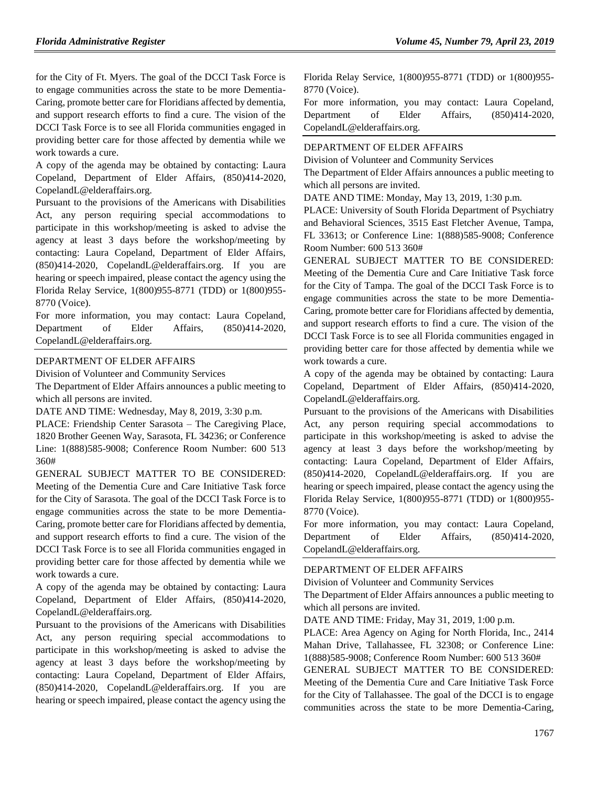for the City of Ft. Myers. The goal of the DCCI Task Force is to engage communities across the state to be more Dementia-Caring, promote better care for Floridians affected by dementia, and support research efforts to find a cure. The vision of the DCCI Task Force is to see all Florida communities engaged in providing better care for those affected by dementia while we work towards a cure.

A copy of the agenda may be obtained by contacting: Laura Copeland, Department of Elder Affairs, (850)414-2020, CopelandL@elderaffairs.org.

Pursuant to the provisions of the Americans with Disabilities Act, any person requiring special accommodations to participate in this workshop/meeting is asked to advise the agency at least 3 days before the workshop/meeting by contacting: Laura Copeland, Department of Elder Affairs, (850)414-2020, CopelandL@elderaffairs.org. If you are hearing or speech impaired, please contact the agency using the Florida Relay Service, 1(800)955-8771 (TDD) or 1(800)955- 8770 (Voice).

For more information, you may contact: Laura Copeland, Department of Elder Affairs, (850)414-2020, CopelandL@elderaffairs.org.

#### [DEPARTMENT OF ELDER AFFAIRS](https://www.flrules.org/gateway/department.asp?id=58)

[Division of Volunteer and Community Services](https://www.flrules.org/gateway/organization.asp?id=530)

The Department of Elder Affairs announces a public meeting to which all persons are invited.

DATE AND TIME: Wednesday, May 8, 2019, 3:30 p.m.

PLACE: Friendship Center Sarasota – The Caregiving Place, 1820 Brother Geenen Way, Sarasota, FL 34236; or Conference Line: 1(888)585-9008; Conference Room Number: 600 513 360#

GENERAL SUBJECT MATTER TO BE CONSIDERED: Meeting of the Dementia Cure and Care Initiative Task force for the City of Sarasota. The goal of the DCCI Task Force is to engage communities across the state to be more Dementia-Caring, promote better care for Floridians affected by dementia, and support research efforts to find a cure. The vision of the DCCI Task Force is to see all Florida communities engaged in providing better care for those affected by dementia while we work towards a cure.

A copy of the agenda may be obtained by contacting: Laura Copeland, Department of Elder Affairs, (850)414-2020, CopelandL@elderaffairs.org.

Pursuant to the provisions of the Americans with Disabilities Act, any person requiring special accommodations to participate in this workshop/meeting is asked to advise the agency at least 3 days before the workshop/meeting by contacting: Laura Copeland, Department of Elder Affairs, (850)414-2020, CopelandL@elderaffairs.org. If you are hearing or speech impaired, please contact the agency using the

Florida Relay Service, 1(800)955-8771 (TDD) or 1(800)955- 8770 (Voice).

For more information, you may contact: Laura Copeland, Department of Elder Affairs, (850)414-2020, CopelandL@elderaffairs.org.

#### [DEPARTMENT OF ELDER AFFAIRS](https://www.flrules.org/gateway/department.asp?id=58)

[Division of Volunteer and Community Services](https://www.flrules.org/gateway/organization.asp?id=530)

The Department of Elder Affairs announces a public meeting to which all persons are invited.

DATE AND TIME: Monday, May 13, 2019, 1:30 p.m.

PLACE: University of South Florida Department of Psychiatry and Behavioral Sciences, 3515 East Fletcher Avenue, Tampa, FL 33613; or Conference Line: 1(888)585-9008; Conference Room Number: 600 513 360#

GENERAL SUBJECT MATTER TO BE CONSIDERED: Meeting of the Dementia Cure and Care Initiative Task force for the City of Tampa. The goal of the DCCI Task Force is to engage communities across the state to be more Dementia-Caring, promote better care for Floridians affected by dementia, and support research efforts to find a cure. The vision of the DCCI Task Force is to see all Florida communities engaged in providing better care for those affected by dementia while we work towards a cure.

A copy of the agenda may be obtained by contacting: Laura Copeland, Department of Elder Affairs, (850)414-2020, CopelandL@elderaffairs.org.

Pursuant to the provisions of the Americans with Disabilities Act, any person requiring special accommodations to participate in this workshop/meeting is asked to advise the agency at least 3 days before the workshop/meeting by contacting: Laura Copeland, Department of Elder Affairs, (850)414-2020, CopelandL@elderaffairs.org. If you are hearing or speech impaired, please contact the agency using the Florida Relay Service, 1(800)955-8771 (TDD) or 1(800)955- 8770 (Voice).

For more information, you may contact: Laura Copeland, Department of Elder Affairs, (850)414-2020, CopelandL@elderaffairs.org.

#### [DEPARTMENT OF ELDER AFFAIRS](https://www.flrules.org/gateway/department.asp?id=58)

[Division of Volunteer and Community Services](https://www.flrules.org/gateway/organization.asp?id=530)

The Department of Elder Affairs announces a public meeting to which all persons are invited.

DATE AND TIME: Friday, May 31, 2019, 1:00 p.m.

PLACE: Area Agency on Aging for North Florida, Inc., 2414 Mahan Drive, Tallahassee, FL 32308; or Conference Line: 1(888)585-9008; Conference Room Number: 600 513 360#

GENERAL SUBJECT MATTER TO BE CONSIDERED: Meeting of the Dementia Cure and Care Initiative Task Force for the City of Tallahassee. The goal of the DCCI is to engage communities across the state to be more Dementia-Caring,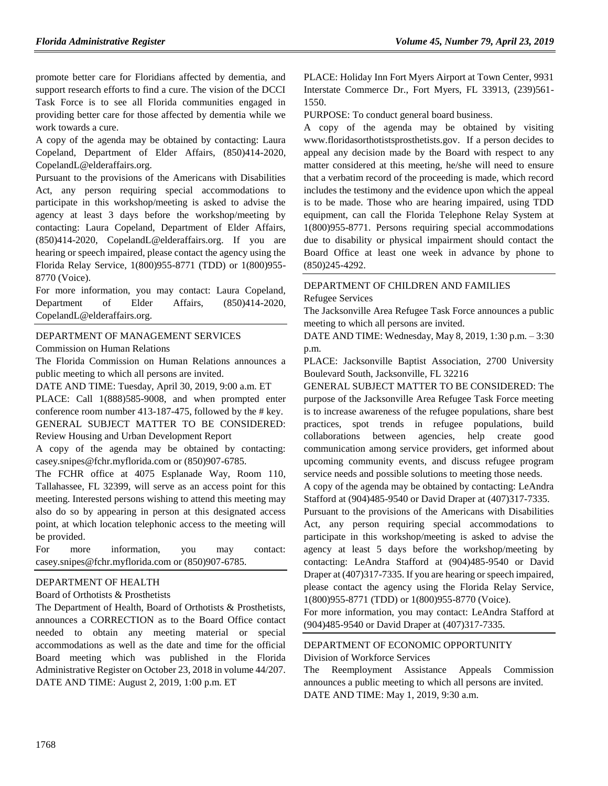promote better care for Floridians affected by dementia, and support research efforts to find a cure. The vision of the DCCI Task Force is to see all Florida communities engaged in providing better care for those affected by dementia while we work towards a cure.

A copy of the agenda may be obtained by contacting: Laura Copeland, Department of Elder Affairs, (850)414-2020, CopelandL@elderaffairs.org.

Pursuant to the provisions of the Americans with Disabilities Act, any person requiring special accommodations to participate in this workshop/meeting is asked to advise the agency at least 3 days before the workshop/meeting by contacting: Laura Copeland, Department of Elder Affairs, (850)414-2020, CopelandL@elderaffairs.org. If you are hearing or speech impaired, please contact the agency using the Florida Relay Service, 1(800)955-8771 (TDD) or 1(800)955- 8770 (Voice).

For more information, you may contact: Laura Copeland, Department of Elder Affairs, (850)414-2020, CopelandL@elderaffairs.org.

#### [DEPARTMENT OF MANAGEMENT SERVICES](https://www.flrules.org/gateway/department.asp?id=60)

[Commission on Human Relations](https://www.flrules.org/gateway/organization.asp?id=245)

The Florida Commission on Human Relations announces a public meeting to which all persons are invited.

DATE AND TIME: Tuesday, April 30, 2019, 9:00 a.m. ET PLACE: Call 1(888)585-9008, and when prompted enter conference room number 413-187-475, followed by the # key. GENERAL SUBJECT MATTER TO BE CONSIDERED:

```
Review Housing and Urban Development Report
```
A copy of the agenda may be obtained by contacting: casey.snipes@fchr.myflorida.com or (850)907-6785.

The FCHR office at 4075 Esplanade Way, Room 110, Tallahassee, FL 32399, will serve as an access point for this meeting. Interested persons wishing to attend this meeting may also do so by appearing in person at this designated access point, at which location telephonic access to the meeting will be provided.

For more information, you may contact: casey.snipes@fchr.myflorida.com or (850)907-6785.

#### DEPARTMENT OF HEALTH

#### Board of Orthotists & Prosthetists

The Department of Health, Board of Orthotists & Prosthetists, announces a CORRECTION as to the Board Office contact needed to obtain any meeting material or special accommodations as well as the date and time for the official Board meeting which was published in the Florida Administrative Register on October 23, 2018 in volume 44/207. DATE AND TIME: August 2, 2019, 1:00 p.m. ET

PLACE: Holiday Inn Fort Myers Airport at Town Center, 9931 Interstate Commerce Dr., Fort Myers, FL 33913, (239)561- 1550.

PURPOSE: To conduct general board business.

A copy of the agenda may be obtained by visiting [www.floridasorthotistsprosthetists.gov.](file:///C:/Users/wlkerce/AppData/Local/Microsoft/Windows/Temporary%20Internet%20Files/Content.IE5/A0GIJY5Z/www.floridasorthotistsprosthetists.gov) If a person decides to appeal any decision made by the Board with respect to any matter considered at this meeting, he/she will need to ensure that a verbatim record of the proceeding is made, which record includes the testimony and the evidence upon which the appeal is to be made. Those who are hearing impaired, using TDD equipment, can call the Florida Telephone Relay System at 1(800)955-8771. Persons requiring special accommodations due to disability or physical impairment should contact the Board Office at least one week in advance by phone to (850)245-4292.

## [DEPARTMENT OF CHILDREN AND FAMILIES](https://www.flrules.org/gateway/department.asp?id=65)

#### [Refugee Services](https://www.flrules.org/gateway/organization.asp?id=528)

The Jacksonville Area Refugee Task Force announces a public meeting to which all persons are invited.

DATE AND TIME: Wednesday, May 8, 2019, 1:30 p.m. – 3:30 p.m.

PLACE: Jacksonville Baptist Association, 2700 University Boulevard South, Jacksonville, FL 32216

GENERAL SUBJECT MATTER TO BE CONSIDERED: The purpose of the Jacksonville Area Refugee Task Force meeting is to increase awareness of the refugee populations, share best practices, spot trends in refugee populations, build collaborations between agencies, help create good communication among service providers, get informed about upcoming community events, and discuss refugee program service needs and possible solutions to meeting those needs.

A copy of the agenda may be obtained by contacting: LeAndra Stafford at (904)485-9540 or David Draper at (407)317-7335.

Pursuant to the provisions of the Americans with Disabilities Act, any person requiring special accommodations to participate in this workshop/meeting is asked to advise the agency at least 5 days before the workshop/meeting by contacting: LeAndra Stafford at (904)485-9540 or David Draper at (407)317-7335. If you are hearing or speech impaired, please contact the agency using the Florida Relay Service, 1(800)955-8771 (TDD) or 1(800)955-8770 (Voice).

For more information, you may contact: LeAndra Stafford at (904)485-9540 or David Draper at (407)317-7335.

#### [DEPARTMENT OF ECONOMIC OPPORTUNITY](https://www.flrules.org/gateway/department.asp?id=73) [Division of Workforce Services](https://www.flrules.org/gateway/organization.asp?id=1065)

The Reemployment Assistance Appeals Commission announces a public meeting to which all persons are invited. DATE AND TIME: May 1, 2019, 9:30 a.m.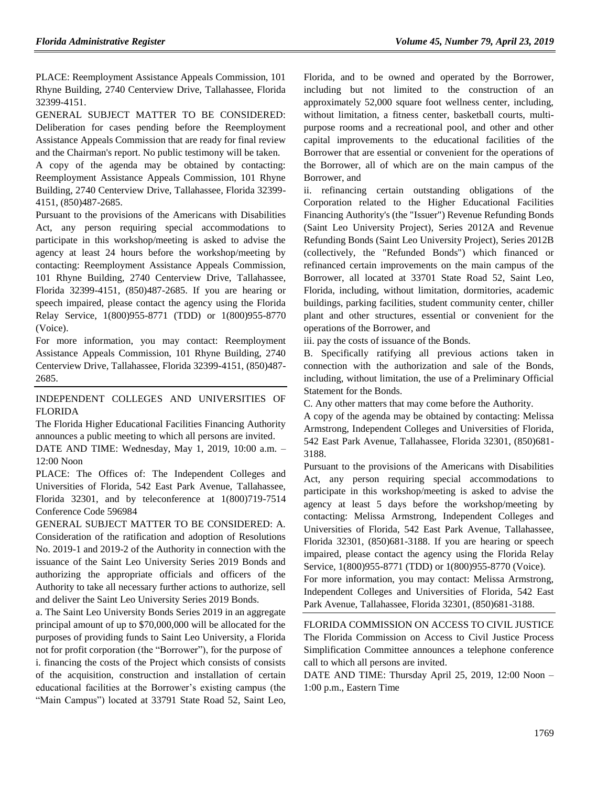PLACE: Reemployment Assistance Appeals Commission, 101 Rhyne Building, 2740 Centerview Drive, Tallahassee, Florida 32399-4151.

GENERAL SUBJECT MATTER TO BE CONSIDERED: Deliberation for cases pending before the Reemployment Assistance Appeals Commission that are ready for final review and the Chairman's report. No public testimony will be taken.

A copy of the agenda may be obtained by contacting: Reemployment Assistance Appeals Commission, 101 Rhyne Building, 2740 Centerview Drive, Tallahassee, Florida 32399- 4151, (850)487-2685.

Pursuant to the provisions of the Americans with Disabilities Act, any person requiring special accommodations to participate in this workshop/meeting is asked to advise the agency at least 24 hours before the workshop/meeting by contacting: Reemployment Assistance Appeals Commission, 101 Rhyne Building, 2740 Centerview Drive, Tallahassee, Florida 32399-4151, (850)487-2685. If you are hearing or speech impaired, please contact the agency using the Florida Relay Service, 1(800)955-8771 (TDD) or 1(800)955-8770 (Voice).

For more information, you may contact: Reemployment Assistance Appeals Commission, 101 Rhyne Building, 2740 Centerview Drive, Tallahassee, Florida 32399-4151, (850)487- 2685.

[INDEPENDENT COLLEGES AND UNIVERSITIES OF](https://www.flrules.org/gateway/organization.asp?id=795)  [FLORIDA](https://www.flrules.org/gateway/organization.asp?id=795)

The Florida Higher Educational Facilities Financing Authority announces a public meeting to which all persons are invited.

DATE AND TIME: Wednesday, May 1, 2019, 10:00 a.m. – 12:00 Noon

PLACE: The Offices of: The Independent Colleges and Universities of Florida, 542 East Park Avenue, Tallahassee, Florida 32301, and by teleconference at 1(800)719-7514 Conference Code 596984

GENERAL SUBJECT MATTER TO BE CONSIDERED: A. Consideration of the ratification and adoption of Resolutions No. 2019-1 and 2019-2 of the Authority in connection with the issuance of the Saint Leo University Series 2019 Bonds and authorizing the appropriate officials and officers of the Authority to take all necessary further actions to authorize, sell and deliver the Saint Leo University Series 2019 Bonds.

a. The Saint Leo University Bonds Series 2019 in an aggregate principal amount of up to \$70,000,000 will be allocated for the purposes of providing funds to Saint Leo University, a Florida not for profit corporation (the "Borrower"), for the purpose of i. financing the costs of the Project which consists of consists of the acquisition, construction and installation of certain educational facilities at the Borrower's existing campus (the "Main Campus") located at 33791 State Road 52, Saint Leo, Florida, and to be owned and operated by the Borrower, including but not limited to the construction of an approximately 52,000 square foot wellness center, including, without limitation, a fitness center, basketball courts, multipurpose rooms and a recreational pool, and other and other capital improvements to the educational facilities of the Borrower that are essential or convenient for the operations of the Borrower, all of which are on the main campus of the Borrower, and

ii. refinancing certain outstanding obligations of the Corporation related to the Higher Educational Facilities Financing Authority's (the "Issuer") Revenue Refunding Bonds (Saint Leo University Project), Series 2012A and Revenue Refunding Bonds (Saint Leo University Project), Series 2012B (collectively, the "Refunded Bonds") which financed or refinanced certain improvements on the main campus of the Borrower, all located at 33701 State Road 52, Saint Leo, Florida, including, without limitation, dormitories, academic buildings, parking facilities, student community center, chiller plant and other structures, essential or convenient for the operations of the Borrower, and

iii. pay the costs of issuance of the Bonds.

B. Specifically ratifying all previous actions taken in connection with the authorization and sale of the Bonds, including, without limitation, the use of a Preliminary Official Statement for the Bonds.

C. Any other matters that may come before the Authority.

A copy of the agenda may be obtained by contacting: Melissa Armstrong, Independent Colleges and Universities of Florida, 542 East Park Avenue, Tallahassee, Florida 32301, (850)681- 3188.

Pursuant to the provisions of the Americans with Disabilities Act, any person requiring special accommodations to participate in this workshop/meeting is asked to advise the agency at least 5 days before the workshop/meeting by contacting: Melissa Armstrong, Independent Colleges and Universities of Florida, 542 East Park Avenue, Tallahassee, Florida 32301, (850)681-3188. If you are hearing or speech impaired, please contact the agency using the Florida Relay Service, 1(800)955-8771 (TDD) or 1(800)955-8770 (Voice).

For more information, you may contact: Melissa Armstrong, Independent Colleges and Universities of Florida, 542 East Park Avenue, Tallahassee, Florida 32301, (850)681-3188.

[FLORIDA COMMISSION ON ACCESS TO CIVIL JUSTICE](https://www.flrules.org/gateway/organization.asp?id=1196) The Florida Commission on Access to Civil Justice Process Simplification Committee announces a telephone conference call to which all persons are invited.

DATE AND TIME: Thursday April 25, 2019, 12:00 Noon – 1:00 p.m., Eastern Time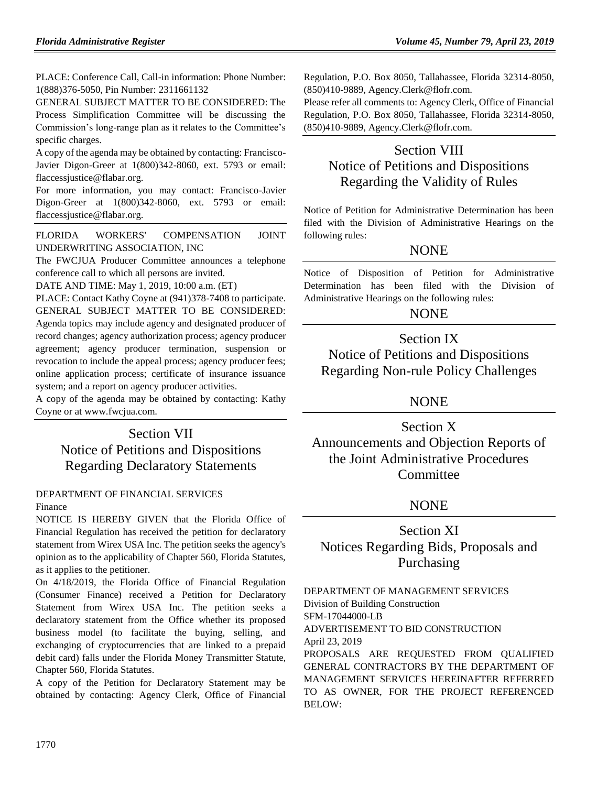PLACE: Conference Call, Call-in information: Phone Number: 1(888)376-5050, Pin Number: 2311661132

GENERAL SUBJECT MATTER TO BE CONSIDERED: The Process Simplification Committee will be discussing the Commission's long-range plan as it relates to the Committee's specific charges.

A copy of the agenda may be obtained by contacting: Francisco-Javier Digon-Greer at 1(800)342-8060, ext. 5793 or email: flaccessjustice@flabar.org.

For more information, you may contact: Francisco-Javier Digon-Greer at 1(800)342-8060, ext. 5793 or email: flaccessjustice@flabar.org.

[FLORIDA WORKERS' COMPENSATION JOINT](https://www.flrules.org/gateway/organization.asp?id=757)  [UNDERWRITING ASSOCIATION, INC](https://www.flrules.org/gateway/organization.asp?id=757)

The FWCJUA Producer Committee announces a telephone conference call to which all persons are invited.

DATE AND TIME: May 1, 2019, 10:00 a.m. (ET)

PLACE: Contact Kathy Coyne at (941)378-7408 to participate. GENERAL SUBJECT MATTER TO BE CONSIDERED: Agenda topics may include agency and designated producer of record changes; agency authorization process; agency producer agreement; agency producer termination, suspension or revocation to include the appeal process; agency producer fees; online application process; certificate of insurance issuance system; and a report on agency producer activities.

A copy of the agenda may be obtained by contacting: Kathy Coyne or at www.fwcjua.com.

# Section VII Notice of Petitions and Dispositions Regarding Declaratory Statements

# [DEPARTMENT OF FINANCIAL SERVICES](https://www.flrules.org/gateway/department.asp?id=69)

### [Finance](https://www.flrules.org/gateway/organization.asp?id=524)

NOTICE IS HEREBY GIVEN that the Florida Office of Financial Regulation has received the petition for declaratory statement from Wirex USA Inc. The petition seeks the agency's opinion as to the applicability of Chapter 560, Florida Statutes, as it applies to the petitioner.

On 4/18/2019, the Florida Office of Financial Regulation (Consumer Finance) received a Petition for Declaratory Statement from Wirex USA Inc. The petition seeks a declaratory statement from the Office whether its proposed business model (to facilitate the buying, selling, and exchanging of cryptocurrencies that are linked to a prepaid debit card) falls under the Florida Money Transmitter Statute, Chapter 560, Florida Statutes.

A copy of the Petition for Declaratory Statement may be obtained by contacting: Agency Clerk, Office of Financial Regulation, P.O. Box 8050, Tallahassee, Florida 32314-8050, (850)410-9889, Agency.Clerk@flofr.com.

Please refer all comments to: Agency Clerk, Office of Financial Regulation, P.O. Box 8050, Tallahassee, Florida 32314-8050, (850)410-9889, Agency.Clerk@flofr.com.

# Section VIII Notice of Petitions and Dispositions Regarding the Validity of Rules

Notice of Petition for Administrative Determination has been filed with the Division of Administrative Hearings on the following rules:

## NONE

Notice of Disposition of Petition for Administrative Determination has been filed with the Division of Administrative Hearings on the following rules:

## **NONE**

## Section IX Notice of Petitions and Dispositions Regarding Non-rule Policy Challenges

# NONE

Section X Announcements and Objection Reports of the Joint Administrative Procedures **Committee** 

## NONE

# Section XI Notices Regarding Bids, Proposals and Purchasing

[DEPARTMENT OF MANAGEMENT SERVICES](https://www.flrules.org/gateway/department.asp?id=60) [Division of Building Construction](https://www.flrules.org/gateway/organization.asp?id=225) SFM-17044000-LB ADVERTISEMENT TO BID CONSTRUCTION April 23, 2019 PROPOSALS ARE REQUESTED FROM QUALIFIED GENERAL CONTRACTORS BY THE DEPARTMENT OF MANAGEMENT SERVICES HEREINAFTER REFERRED TO AS OWNER, FOR THE PROJECT REFERENCED BELOW: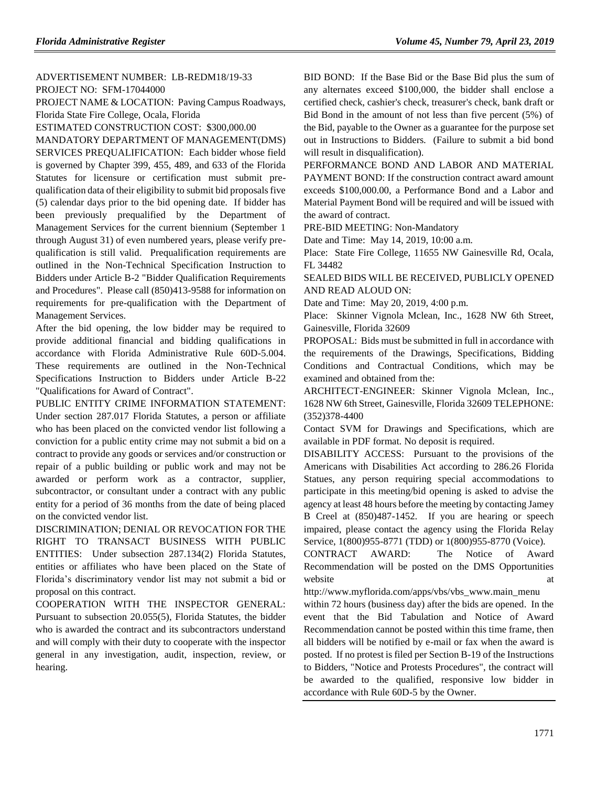## ADVERTISEMENT NUMBER: LB-REDM18/19-33 PROJECT NO: SFM-17044000

PROJECT NAME & LOCATION: Paving Campus Roadways, Florida State Fire College, Ocala, Florida

ESTIMATED CONSTRUCTION COST: \$300,000.00

MANDATORY DEPARTMENT OF MANAGEMENT(DMS) SERVICES PREQUALIFICATION: Each bidder whose field is governed by Chapter 399, 455, 489, and 633 of the Florida Statutes for licensure or certification must submit prequalification data of their eligibility to submit bid proposals five (5) calendar days prior to the bid opening date. If bidder has been previously prequalified by the Department of Management Services for the current biennium (September 1 through August 31) of even numbered years, please verify prequalification is still valid. Prequalification requirements are outlined in the Non-Technical Specification Instruction to Bidders under Article B-2 "Bidder Qualification Requirements and Procedures". Please call (850)413-9588 for information on requirements for pre-qualification with the Department of Management Services.

After the bid opening, the low bidder may be required to provide additional financial and bidding qualifications in accordance with Florida Administrative Rule 60D-5.004. These requirements are outlined in the Non-Technical Specifications Instruction to Bidders under Article B-22 "Qualifications for Award of Contract".

PUBLIC ENTITY CRIME INFORMATION STATEMENT: Under section 287.017 Florida Statutes, a person or affiliate who has been placed on the convicted vendor list following a conviction for a public entity crime may not submit a bid on a contract to provide any goods or services and/or construction or repair of a public building or public work and may not be awarded or perform work as a contractor, supplier, subcontractor, or consultant under a contract with any public entity for a period of 36 months from the date of being placed on the convicted vendor list.

DISCRIMINATION; DENIAL OR REVOCATION FOR THE RIGHT TO TRANSACT BUSINESS WITH PUBLIC ENTITIES: Under subsection 287.134(2) Florida Statutes, entities or affiliates who have been placed on the State of Florida's discriminatory vendor list may not submit a bid or proposal on this contract.

COOPERATION WITH THE INSPECTOR GENERAL: Pursuant to subsection 20.055(5), Florida Statutes, the bidder who is awarded the contract and its subcontractors understand and will comply with their duty to cooperate with the inspector general in any investigation, audit, inspection, review, or hearing.

BID BOND: If the Base Bid or the Base Bid plus the sum of any alternates exceed \$100,000, the bidder shall enclose a certified check, cashier's check, treasurer's check, bank draft or Bid Bond in the amount of not less than five percent (5%) of the Bid, payable to the Owner as a guarantee for the purpose set out in Instructions to Bidders. (Failure to submit a bid bond will result in disqualification).

PERFORMANCE BOND AND LABOR AND MATERIAL PAYMENT BOND: If the construction contract award amount exceeds \$100,000.00, a Performance Bond and a Labor and Material Payment Bond will be required and will be issued with the award of contract.

PRE-BID MEETING: Non-Mandatory

Date and Time: May 14, 2019, 10:00 a.m.

Place: State Fire College, 11655 NW Gainesville Rd, Ocala, FL 34482

SEALED BIDS WILL BE RECEIVED, PUBLICLY OPENED AND READ ALOUD ON:

Date and Time: May 20, 2019, 4:00 p.m.

Place: Skinner Vignola Mclean, Inc., 1628 NW 6th Street, Gainesville, Florida 32609

PROPOSAL: Bids must be submitted in full in accordance with the requirements of the Drawings, Specifications, Bidding Conditions and Contractual Conditions, which may be examined and obtained from the:

ARCHITECT-ENGINEER: Skinner Vignola Mclean, Inc., 1628 NW 6th Street, Gainesville, Florida 32609 TELEPHONE: (352)378-4400

Contact SVM for Drawings and Specifications, which are available in PDF format. No deposit is required.

DISABILITY ACCESS: Pursuant to the provisions of the Americans with Disabilities Act according to 286.26 Florida Statues, any person requiring special accommodations to participate in this meeting/bid opening is asked to advise the agency at least 48 hours before the meeting by contacting Jamey B Creel at (850)487-1452. If you are hearing or speech impaired, please contact the agency using the Florida Relay Service, 1(800)955-8771 (TDD) or 1(800)955-8770 (Voice).

CONTRACT AWARD: The Notice of Award Recommendation will be posted on the DMS Opportunities website at a state at  $\alpha$  at  $\alpha$ 

[http://www.myflorida.com/apps/vbs/vbs\\_www.main\\_menu](http://www.myflorida.com/apps/vbs/vbs_www.main_menu)

within 72 hours (business day) after the bids are opened. In the event that the Bid Tabulation and Notice of Award Recommendation cannot be posted within this time frame, then all bidders will be notified by e-mail or fax when the award is posted. If no protest is filed per Section B-19 of the Instructions to Bidders, "Notice and Protests Procedures", the contract will be awarded to the qualified, responsive low bidder in accordance with Rule 60D-5 by the Owner.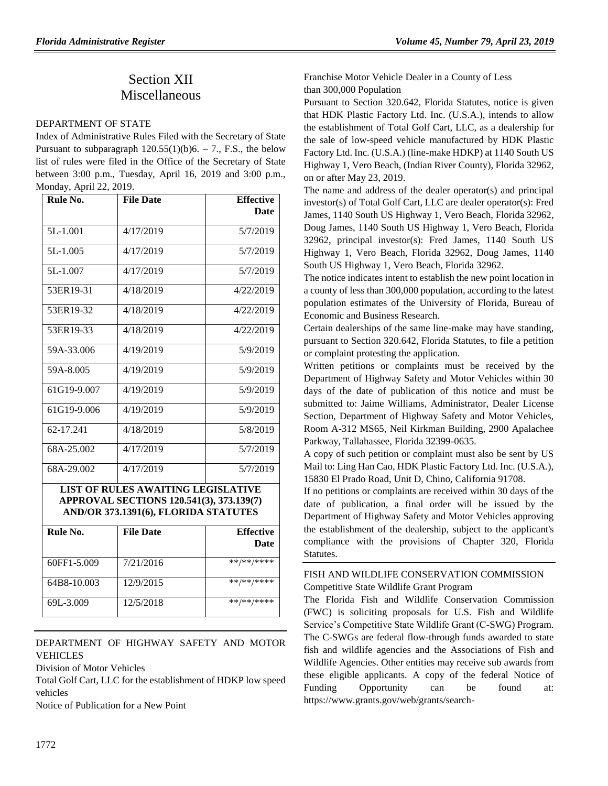# Section XII Miscellaneous

#### [DEPARTMENT OF STATE](https://www.flrules.org/gateway/department.asp?id=1)

Index of Administrative Rules Filed with the Secretary of State Pursuant to subparagraph  $120.55(1)(b)6. - 7$ ., F.S., the below list of rules were filed in the Office of the Secretary of State between 3:00 p.m., Tuesday, April 16, 2019 and 3:00 p.m., Monday, April 22, 2019.

| Rule No.    | <b>File Date</b> | <b>Effective</b> |
|-------------|------------------|------------------|
|             |                  | <b>Date</b>      |
| 5L-1.001    | 4/17/2019        | 5/7/2019         |
| 5L-1.005    | 4/17/2019        | 5/7/2019         |
| 5L-1.007    | 4/17/2019        | 5/7/2019         |
| 53ER19-31   | 4/18/2019        | 4/22/2019        |
| 53ER19-32   | 4/18/2019        | 4/22/2019        |
| 53ER19-33   | 4/18/2019        | 4/22/2019        |
| 59A-33.006  | 4/19/2019        | 5/9/2019         |
| 59A-8.005   | 4/19/2019        | 5/9/2019         |
| 61G19-9.007 | 4/19/2019        | 5/9/2019         |
| 61G19-9.006 | 4/19/2019        | 5/9/2019         |
| 62-17.241   | 4/18/2019        | 5/8/2019         |
| 68A-25.002  | 4/17/2019        | 5/7/2019         |
| 68A-29.002  | 4/17/2019        | 5/7/2019         |

#### **LIST OF RULES AWAITING LEGISLATIVE APPROVAL SECTIONS 120.541(3), 373.139(7) AND/OR 373.1391(6), FLORIDA STATUTES**

| Rule No.    | <b>File Date</b> | <b>Effective</b><br><b>Date</b> |
|-------------|------------------|---------------------------------|
| 60FF1-5.009 | 7/21/2016        | **/**/****                      |
| 64B8-10.003 | 12/9/2015        | **/**/****                      |
| 69L-3.009   | 12/5/2018        | **/**/****                      |

#### [DEPARTMENT OF HIGHWAY SAFETY AND MOTOR](https://www.flrules.org/gateway/department.asp?id=15)  [VEHICLES](https://www.flrules.org/gateway/department.asp?id=15)

[Division of Motor Vehicles](https://www.flrules.org/gateway/organization.asp?id=42)

Total Golf Cart, LLC for the establishment of HDKP low speed vehicles

Notice of Publication for a New Point

### Franchise Motor Vehicle Dealer in a County of Less than 300,000 Population

Pursuant to Section 320.642, Florida Statutes, notice is given that HDK Plastic Factory Ltd. Inc. (U.S.A.), intends to allow the establishment of Total Golf Cart, LLC, as a dealership for the sale of low-speed vehicle manufactured by HDK Plastic Factory Ltd. Inc. (U.S.A.) (line-make HDKP) at 1140 South US Highway 1, Vero Beach, (Indian River County), Florida 32962, on or after May 23, 2019.

The name and address of the dealer operator(s) and principal investor(s) of Total Golf Cart, LLC are dealer operator(s): Fred James, 1140 South US Highway 1, Vero Beach, Florida 32962, Doug James, 1140 South US Highway 1, Vero Beach, Florida 32962, principal investor(s): Fred James, 1140 South US Highway 1, Vero Beach, Florida 32962, Doug James, 1140 South US Highway 1, Vero Beach, Florida 32962.

The notice indicates intent to establish the new point location in a county of less than 300,000 population, according to the latest population estimates of the University of Florida, Bureau of Economic and Business Research.

Certain dealerships of the same line-make may have standing, pursuant to Section 320.642, Florida Statutes, to file a petition or complaint protesting the application.

Written petitions or complaints must be received by the Department of Highway Safety and Motor Vehicles within 30 days of the date of publication of this notice and must be submitted to: Jaime Williams, Administrator, Dealer License Section, Department of Highway Safety and Motor Vehicles, Room A-312 MS65, Neil Kirkman Building, 2900 Apalachee Parkway, Tallahassee, Florida 32399-0635.

A copy of such petition or complaint must also be sent by US Mail to: Ling Han Cao, HDK Plastic Factory Ltd. Inc. (U.S.A.), 15830 El Prado Road, Unit D, Chino, California 91708.

If no petitions or complaints are received within 30 days of the date of publication, a final order will be issued by the Department of Highway Safety and Motor Vehicles approving the establishment of the dealership, subject to the applicant's compliance with the provisions of Chapter 320, Florida Statutes.

### [FISH AND WILDLIFE CONSERVATION COMMISSION](https://www.flrules.org/gateway/department.asp?id=68) Competitive State Wildlife Grant Program

The Florida Fish and Wildlife Conservation Commission (FWC) is soliciting proposals for U.S. Fish and Wildlife Service's Competitive State Wildlife Grant (C-SWG) Program. The C-SWGs are federal flow-through funds awarded to state fish and wildlife agencies and the Associations of Fish and Wildlife Agencies. Other entities may receive sub awards from these eligible applicants. A copy of the federal Notice of Funding Opportunity can be found at: [https://www.grants.gov/web/grants/search-](https://www.grants.gov/web/grants/search-grants.html?keywords=F19AS00191)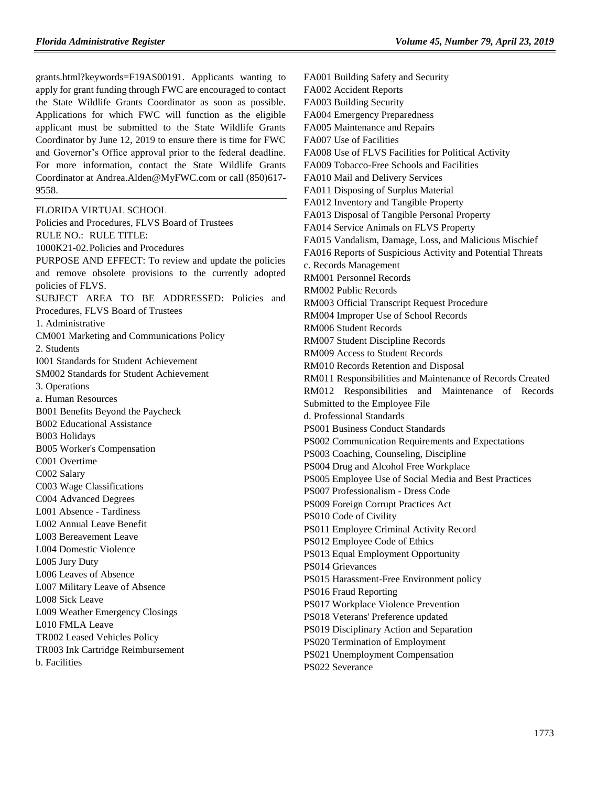[grants.html?keywords=F19AS00191.](https://www.grants.gov/web/grants/search-grants.html?keywords=F19AS00191) Applicants wanting to apply for grant funding through FWC are encouraged to contact the State Wildlife Grants Coordinator as soon as possible. Applications for which FWC will function as the eligible applicant must be submitted to the State Wildlife Grants Coordinator by June 12, 2019 to ensure there is time for FWC and Governor's Office approval prior to the federal deadline. For more information, contact the State Wildlife Grants Coordinator a[t Andrea.Alden@MyFWC.com](mailto:Andrea.Alden@MyFWC.com) or call (850)617- 9558.

[FLORIDA VIRTUAL SCHOOL](https://www.flrules.org/gateway/organization.asp?id=1357) Policies and Procedures, FLVS Board of Trustees RULE NO.: RULE TITLE: [1000K21-02.P](https://www.flrules.org/gateway/ruleNo.asp?id=1000K21-02.)olicies and Procedures PURPOSE AND EFFECT: To review and update the policies and remove obsolete provisions to the currently adopted policies of FLVS. SUBJECT AREA TO BE ADDRESSED: Policies and Procedures, FLVS Board of Trustees 1. Administrative CM001 Marketing and Communications Policy 2. Students I001 Standards for Student Achievement SM002 Standards for Student Achievement 3. Operations a. Human Resources B001 Benefits Beyond the Paycheck B002 Educational Assistance B003 Holidays B005 Worker's Compensation C001 Overtime C002 Salary C003 Wage Classifications C004 Advanced Degrees L001 Absence - Tardiness L002 Annual Leave Benefit L003 Bereavement Leave L004 Domestic Violence L005 Jury Duty L006 Leaves of Absence L007 Military Leave of Absence L008 Sick Leave L009 Weather Emergency Closings L010 FMLA Leave TR002 Leased Vehicles Policy TR003 Ink Cartridge Reimbursement b. Facilities

FA001 Building Safety and Security FA002 Accident Reports FA003 Building Security FA004 Emergency Preparedness FA005 Maintenance and Repairs FA007 Use of Facilities FA008 Use of FLVS Facilities for Political Activity FA009 Tobacco-Free Schools and Facilities FA010 Mail and Delivery Services FA011 Disposing of Surplus Material FA012 Inventory and Tangible Property FA013 Disposal of Tangible Personal Property FA014 Service Animals on FLVS Property FA015 Vandalism, Damage, Loss, and Malicious Mischief FA016 Reports of Suspicious Activity and Potential Threats c. Records Management RM001 Personnel Records RM002 Public Records RM003 Official Transcript Request Procedure RM004 Improper Use of School Records RM006 Student Records RM007 Student Discipline Records RM009 Access to Student Records RM010 Records Retention and Disposal RM011 Responsibilities and Maintenance of Records Created RM012 Responsibilities and Maintenance of Records Submitted to the Employee File d. Professional Standards PS001 Business Conduct Standards PS002 Communication Requirements and Expectations PS003 Coaching, Counseling, Discipline PS004 Drug and Alcohol Free Workplace PS005 Employee Use of Social Media and Best Practices PS007 Professionalism - Dress Code PS009 Foreign Corrupt Practices Act PS010 Code of Civility PS011 Employee Criminal Activity Record PS012 Employee Code of Ethics PS013 Equal Employment Opportunity PS014 Grievances PS015 Harassment-Free Environment policy PS016 Fraud Reporting PS017 Workplace Violence Prevention PS018 Veterans' Preference updated PS019 Disciplinary Action and Separation PS020 Termination of Employment PS021 Unemployment Compensation PS022 Severance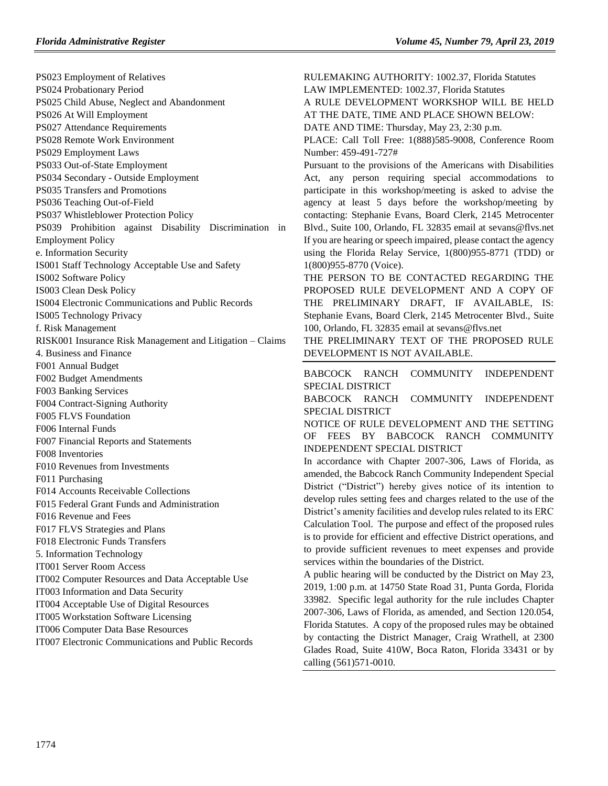RULEMAKING AUTHORITY: [1002.37, Florida Statutes](https://www.flrules.org/gateway/cfr.asp?id=1002.37,%20Florida%20Statutes)

A RULE DEVELOPMENT WORKSHOP WILL BE HELD

LAW IMPLEMENTED: [1002.37, Florida Statutes](https://www.flrules.org/gateway/cfr.asp?id=1002.37,%20Florida%20Statutes)

PS023 Employment of Relatives PS024 Probationary Period PS025 Child Abuse, Neglect and Abandonment PS026 At Will Employment PS027 Attendance Requirements PS028 Remote Work Environment PS029 Employment Laws PS033 Out-of-State Employment PS034 Secondary - Outside Employment PS035 Transfers and Promotions PS036 Teaching Out-of-Field PS037 Whistleblower Protection Policy PS039 Prohibition against Disability Discrimination in Employment Policy e. Information Security IS001 Staff Technology Acceptable Use and Safety IS002 Software Policy IS003 Clean Desk Policy IS004 Electronic Communications and Public Records IS005 Technology Privacy f. Risk Management RISK001 Insurance Risk Management and Litigation – Claims 4. Business and Finance F001 Annual Budget F002 Budget Amendments F003 Banking Services F004 Contract-Signing Authority F005 FLVS Foundation F006 Internal Funds F007 Financial Reports and Statements F008 Inventories F010 Revenues from Investments F011 Purchasing F014 Accounts Receivable Collections F015 Federal Grant Funds and Administration F016 Revenue and Fees F017 FLVS Strategies and Plans F018 Electronic Funds Transfers 5. Information Technology IT001 Server Room Access IT002 Computer Resources and Data Acceptable Use IT003 Information and Data Security IT004 Acceptable Use of Digital Resources IT005 Workstation Software Licensing IT006 Computer Data Base Resources IT007 Electronic Communications and Public Records

AT THE DATE, TIME AND PLACE SHOWN BELOW: DATE AND TIME: Thursday, May 23, 2:30 p.m. PLACE: Call Toll Free: 1(888)585-9008, Conference Room Number: 459-491-727# Pursuant to the provisions of the Americans with Disabilities Act, any person requiring special accommodations to participate in this workshop/meeting is asked to advise the agency at least 5 days before the workshop/meeting by contacting: Stephanie Evans, Board Clerk, 2145 Metrocenter Blvd., Suite 100, Orlando, FL 32835 email at [sevans@flvs.net](mailto:sevans@flvs.net) If you are hearing or speech impaired, please contact the agency using the Florida Relay Service, 1(800)955-8771 (TDD) or 1(800)955-8770 (Voice). THE PERSON TO BE CONTACTED REGARDING THE PROPOSED RULE DEVELOPMENT AND A COPY OF THE PRELIMINARY DRAFT, IF AVAILABLE, IS: Stephanie Evans, Board Clerk, 2145 Metrocenter Blvd., Suite 100, Orlando, FL 32835 email at [sevans@flvs.net](mailto:sevans@flvs.net) THE PRELIMINARY TEXT OF THE PROPOSED RULE DEVELOPMENT IS NOT AVAILABLE. [BABCOCK RANCH COMMUNITY INDEPENDENT](https://www.flrules.org/gateway/organization.asp?id=1319)  [SPECIAL DISTRICT](https://www.flrules.org/gateway/organization.asp?id=1319) BABCOCK RANCH COMMUNITY INDEPENDENT SPECIAL DISTRICT NOTICE OF RULE DEVELOPMENT AND THE SETTING OF FEES BY BABCOCK RANCH COMMUNITY INDEPENDENT SPECIAL DISTRICT In accordance with Chapter 2007-306, Laws of Florida, as amended, the Babcock Ranch Community Independent Special District ("District") hereby gives notice of its intention to develop rules setting fees and charges related to the use of the District's amenity facilities and develop rules related to its ERC Calculation Tool. The purpose and effect of the proposed rules is to provide for efficient and effective District operations, and to provide sufficient revenues to meet expenses and provide services within the boundaries of the District. A public hearing will be conducted by the District on May 23, 2019, 1:00 p.m. at 14750 State Road 31, Punta Gorda, Florida 33982. Specific legal authority for the rule includes Chapter 2007-306, Laws of Florida, as amended, and Section 120.054, Florida Statutes. A copy of the proposed rules may be obtained by contacting the District Manager, Craig Wrathell, at 2300 Glades Road, Suite 410W, Boca Raton, Florida 33431 or by calling (561)571-0010.